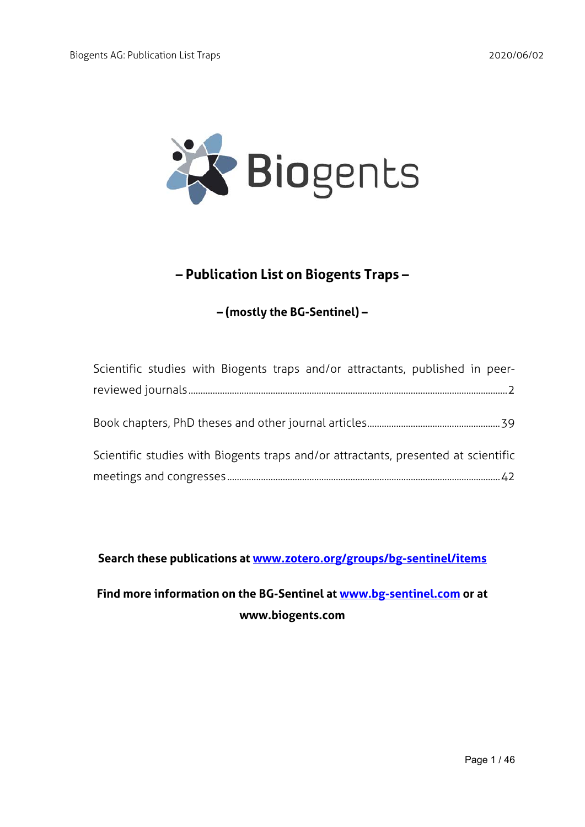

## **– Publication List on Biogents Traps –**

### **– (mostly the BG-Sentinel) –**

| Scientific studies with Biogents traps and/or attractants, published in peer-      |  |
|------------------------------------------------------------------------------------|--|
|                                                                                    |  |
|                                                                                    |  |
|                                                                                    |  |
|                                                                                    |  |
| Scientific studies with Biogents traps and/or attractants, presented at scientific |  |
|                                                                                    |  |

#### **Search these publications at www.zotero.org/groups/bg-sentinel/items**

## **Find more information on the BG-Sentinel at www.bg-sentinel.com or at www.biogents.com**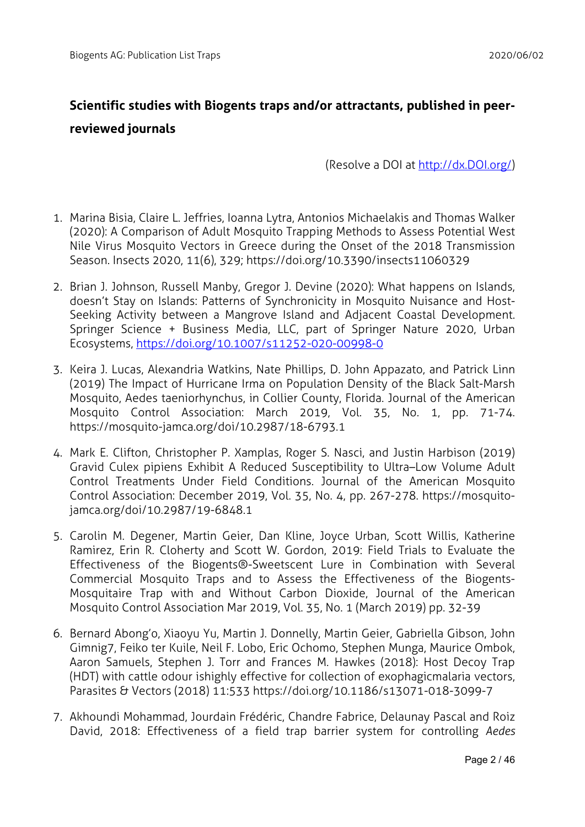# **Scientific studies with Biogents traps and/or attractants, published in peerreviewed journals**

(Resolve a DOI at http://dx.DOI.org/)

- 1. Marina Bisia, Claire L. Jeffries, Ioanna Lytra, Antonios Michaelakis and Thomas Walker (2020): A Comparison of Adult Mosquito Trapping Methods to Assess Potential West Nile Virus Mosquito Vectors in Greece during the Onset of the 2018 Transmission Season. Insects 2020, 11(6), 329; https://doi.org/10.3390/insects11060329
- 2. Brian J. Johnson, Russell Manby, Gregor J. Devine (2020): What happens on Islands, doesn't Stay on Islands: Patterns of Synchronicity in Mosquito Nuisance and Host-Seeking Activity between a Mangrove Island and Adjacent Coastal Development. Springer Science + Business Media, LLC, part of Springer Nature 2020, Urban Ecosystems, https://doi.org/10.1007/s11252-020-00998-0
- 3. Keira J. Lucas, Alexandria Watkins, Nate Phillips, D. John Appazato, and Patrick Linn (2019) The Impact of Hurricane Irma on Population Density of the Black Salt-Marsh Mosquito, Aedes taeniorhynchus, in Collier County, Florida. Journal of the American Mosquito Control Association: March 2019, Vol. 35, No. 1, pp. 71-74. https://mosquito-jamca.org/doi/10.2987/18-6793.1
- 4. Mark E. Clifton, Christopher P. Xamplas, Roger S. Nasci, and Justin Harbison (2019) Gravid Culex pipiens Exhibit A Reduced Susceptibility to Ultra–Low Volume Adult Control Treatments Under Field Conditions. Journal of the American Mosquito Control Association: December 2019, Vol. 35, No. 4, pp. 267-278. https://mosquitojamca.org/doi/10.2987/19-6848.1
- 5. Carolin M. Degener, Martin Geier, Dan Kline, Joyce Urban, Scott Willis, Katherine Ramirez, Erin R. Cloherty and Scott W. Gordon, 2019: Field Trials to Evaluate the Effectiveness of the Biogents®-Sweetscent Lure in Combination with Several Commercial Mosquito Traps and to Assess the Effectiveness of the Biogents-Mosquitaire Trap with and Without Carbon Dioxide, Journal of the American Mosquito Control Association Mar 2019, Vol. 35, No. 1 (March 2019) pp. 32-39
- 6. Bernard Abong'o, Xiaoyu Yu, Martin J. Donnelly, Martin Geier, Gabriella Gibson, John Gimnig7, Feiko ter Kuile, Neil F. Lobo, Eric Ochomo, Stephen Munga, Maurice Ombok, Aaron Samuels, Stephen J. Torr and Frances M. Hawkes (2018): Host Decoy Trap (HDT) with cattle odour ishighly effective for collection of exophagicmalaria vectors, Parasites & Vectors (2018) 11:533 https://doi.org/10.1186/s13071-018-3099-7
- 7. Akhoundi Mohammad, Jourdain Frédéric, Chandre Fabrice, Delaunay Pascal and Roiz David, 2018: Effectiveness of a field trap barrier system for controlling *Aedes*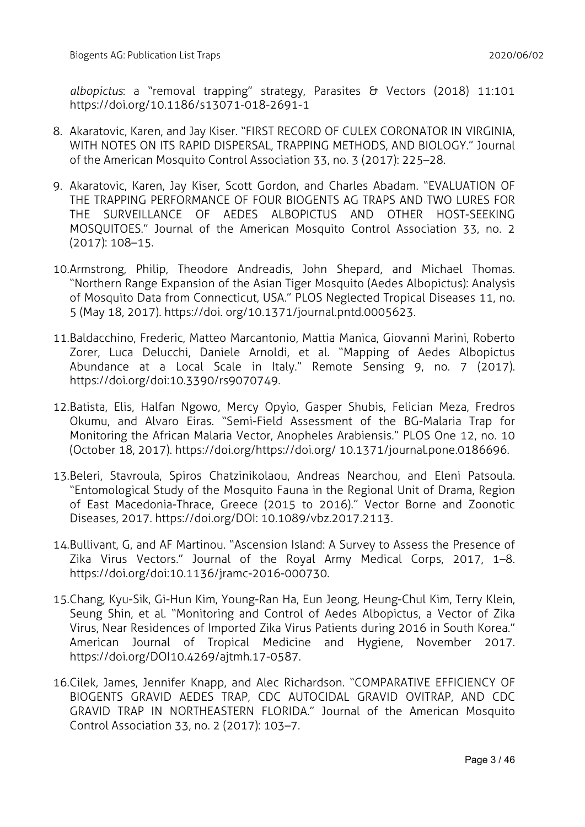*albopictus*: a "removal trapping" strategy, Parasites & Vectors (2018) 11:101 https://doi.org/10.1186/s13071-018-2691-1

- 8. Akaratovic, Karen, and Jay Kiser. "FIRST RECORD OF CULEX CORONATOR IN VIRGINIA, WITH NOTES ON ITS RAPID DISPERSAL, TRAPPING METHODS, AND BIOLOGY." Journal of the American Mosquito Control Association 33, no. 3 (2017): 225–28.
- 9. Akaratovic, Karen, Jay Kiser, Scott Gordon, and Charles Abadam. "EVALUATION OF THE TRAPPING PERFORMANCE OF FOUR BIOGENTS AG TRAPS AND TWO LURES FOR THE SURVEILLANCE OF AEDES ALBOPICTUS AND OTHER HOST-SEEKING MOSQUITOES." Journal of the American Mosquito Control Association 33, no. 2 (2017): 108–15.
- 10.Armstrong, Philip, Theodore Andreadis, John Shepard, and Michael Thomas. "Northern Range Expansion of the Asian Tiger Mosquito (Aedes Albopictus): Analysis of Mosquito Data from Connecticut, USA." PLOS Neglected Tropical Diseases 11, no. 5 (May 18, 2017). https://doi. org/10.1371/journal.pntd.0005623.
- 11.Baldacchino, Frederic, Matteo Marcantonio, Mattia Manica, Giovanni Marini, Roberto Zorer, Luca Delucchi, Daniele Arnoldi, et al. "Mapping of Aedes Albopictus Abundance at a Local Scale in Italy." Remote Sensing 9, no. 7 (2017). https://doi.org/doi:10.3390/rs9070749.
- 12.Batista, Elis, Halfan Ngowo, Mercy Opyio, Gasper Shubis, Felician Meza, Fredros Okumu, and Alvaro Eiras. "Semi-Field Assessment of the BG-Malaria Trap for Monitoring the African Malaria Vector, Anopheles Arabiensis." PLOS One 12, no. 10 (October 18, 2017). https://doi.org/https://doi.org/ 10.1371/journal.pone.0186696.
- 13.Beleri, Stavroula, Spiros Chatzinikolaou, Andreas Nearchou, and Eleni Patsoula. "Entomological Study of the Mosquito Fauna in the Regional Unit of Drama, Region of East Macedonia-Thrace, Greece (2015 to 2016)." Vector Borne and Zoonotic Diseases, 2017. https://doi.org/DOI: 10.1089/vbz.2017.2113.
- 14.Bullivant, G, and AF Martinou. "Ascension Island: A Survey to Assess the Presence of Zika Virus Vectors." Journal of the Royal Army Medical Corps, 2017, 1–8. https://doi.org/doi:10.1136/jramc-2016-000730.
- 15.Chang, Kyu-Sik, Gi-Hun Kim, Young-Ran Ha, Eun Jeong, Heung-Chul Kim, Terry Klein, Seung Shin, et al. "Monitoring and Control of Aedes Albopictus, a Vector of Zika Virus, Near Residences of Imported Zika Virus Patients during 2016 in South Korea." American Journal of Tropical Medicine and Hygiene, November 2017. https://doi.org/DOI10.4269/ajtmh.17-0587.
- 16.Cilek, James, Jennifer Knapp, and Alec Richardson. "COMPARATIVE EFFICIENCY OF BIOGENTS GRAVID AEDES TRAP, CDC AUTOCIDAL GRAVID OVITRAP, AND CDC GRAVID TRAP IN NORTHEASTERN FLORIDA." Journal of the American Mosquito Control Association 33, no. 2 (2017): 103–7.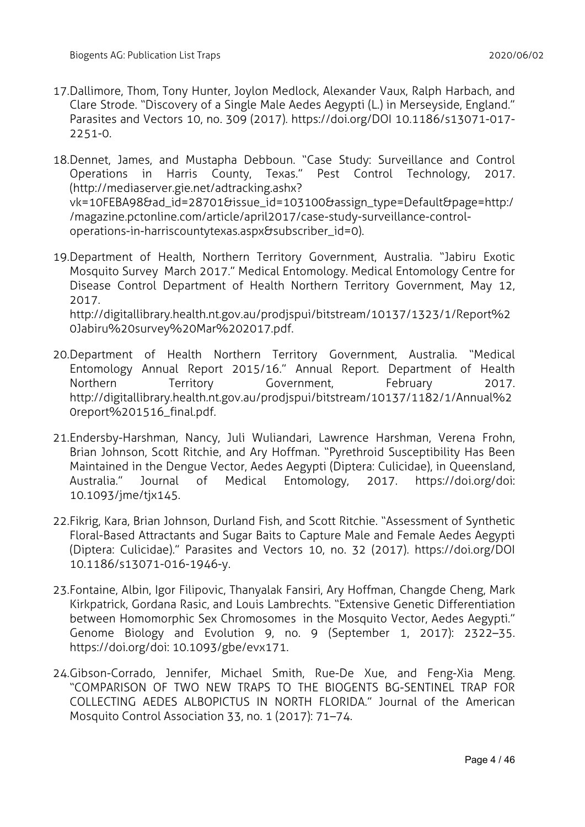- 17.Dallimore, Thom, Tony Hunter, Joylon Medlock, Alexander Vaux, Ralph Harbach, and Clare Strode. "Discovery of a Single Male Aedes Aegypti (L.) in Merseyside, England." Parasites and Vectors 10, no. 309 (2017). https://doi.org/DOI 10.1186/s13071-017- 2251-0.
- 18.Dennet, James, and Mustapha Debboun. "Case Study: Surveillance and Control Operations in Harris County, Texas." Pest Control Technology, 2017. (http://mediaserver.gie.net/adtracking.ashx? vk=10FEBA98&ad\_id=28701&issue\_id=103100&assign\_type=Default&page=http:/ /magazine.pctonline.com/article/april2017/case-study-surveillance-controloperations-in-harriscountytexas.aspx&subscriber\_id=0).
- 19.Department of Health, Northern Territory Government, Australia. "Jabiru Exotic Mosquito Survey March 2017." Medical Entomology. Medical Entomology Centre for Disease Control Department of Health Northern Territory Government, May 12, 2017. http://digitallibrary.health.nt.gov.au/prodjspui/bitstream/10137/1323/1/Report%2 0Jabiru%20survey%20Mar%202017.pdf.
- 20.Department of Health Northern Territory Government, Australia. "Medical Entomology Annual Report 2015/16." Annual Report. Department of Health Northern Territory Government. February 2017. http://digitallibrary.health.nt.gov.au/prodjspui/bitstream/10137/1182/1/Annual%2 0report%201516\_final.pdf.
- 21.Endersby-Harshman, Nancy, Juli Wuliandari, Lawrence Harshman, Verena Frohn, Brian Johnson, Scott Ritchie, and Ary Hoffman. "Pyrethroid Susceptibility Has Been Maintained in the Dengue Vector, Aedes Aegypti (Diptera: Culicidae), in Queensland, Australia." Journal of Medical Entomology, 2017. https://doi.org/doi: 10.1093/jme/tjx145.
- 22.Fikrig, Kara, Brian Johnson, Durland Fish, and Scott Ritchie. "Assessment of Synthetic Floral-Based Attractants and Sugar Baits to Capture Male and Female Aedes Aegypti (Diptera: Culicidae)." Parasites and Vectors 10, no. 32 (2017). https://doi.org/DOI 10.1186/s13071-016-1946-y.
- 23.Fontaine, Albin, Igor Filipovic, Thanyalak Fansiri, Ary Hoffman, Changde Cheng, Mark Kirkpatrick, Gordana Rasic, and Louis Lambrechts. "Extensive Genetic Differentiation between Homomorphic Sex Chromosomes in the Mosquito Vector, Aedes Aegypti." Genome Biology and Evolution 9, no. 9 (September 1, 2017): 2322–35. https://doi.org/doi: 10.1093/gbe/evx171.
- 24.Gibson-Corrado, Jennifer, Michael Smith, Rue-De Xue, and Feng-Xia Meng. "COMPARISON OF TWO NEW TRAPS TO THE BIOGENTS BG-SENTINEL TRAP FOR COLLECTING AEDES ALBOPICTUS IN NORTH FLORIDA." Journal of the American Mosquito Control Association 33, no. 1 (2017): 71–74.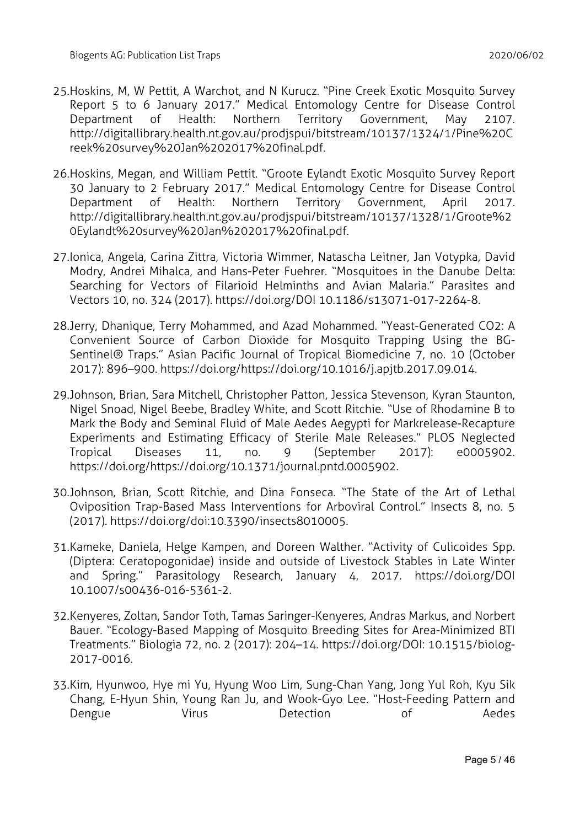- 25.Hoskins, M, W Pettit, A Warchot, and N Kurucz. "Pine Creek Exotic Mosquito Survey Report 5 to 6 January 2017." Medical Entomology Centre for Disease Control Department of Health: Northern Territory Government, May 2107. http://digitallibrary.health.nt.gov.au/prodjspui/bitstream/10137/1324/1/Pine%20C reek%20survey%20Jan%202017%20final.pdf.
- 26.Hoskins, Megan, and William Pettit. "Groote Eylandt Exotic Mosquito Survey Report 30 January to 2 February 2017." Medical Entomology Centre for Disease Control Department of Health: Northern Territory Government, April 2017. http://digitallibrary.health.nt.gov.au/prodjspui/bitstream/10137/1328/1/Groote%2 0Eylandt%20survey%20Jan%202017%20final.pdf.
- 27.Ionica, Angela, Carina Zittra, Victoria Wimmer, Natascha Leitner, Jan Votypka, David Modry, Andrei Mihalca, and Hans-Peter Fuehrer. "Mosquitoes in the Danube Delta: Searching for Vectors of Filarioid Helminths and Avian Malaria." Parasites and Vectors 10, no. 324 (2017). https://doi.org/DOI 10.1186/s13071-017-2264-8.
- 28.Jerry, Dhanique, Terry Mohammed, and Azad Mohammed. "Yeast-Generated CO2: A Convenient Source of Carbon Dioxide for Mosquito Trapping Using the BG-Sentinel® Traps." Asian Pacific Journal of Tropical Biomedicine 7, no. 10 (October 2017): 896–900. https://doi.org/https://doi.org/10.1016/j.apjtb.2017.09.014.
- 29.Johnson, Brian, Sara Mitchell, Christopher Patton, Jessica Stevenson, Kyran Staunton, Nigel Snoad, Nigel Beebe, Bradley White, and Scott Ritchie. "Use of Rhodamine B to Mark the Body and Seminal Fluid of Male Aedes Aegypti for Markrelease-Recapture Experiments and Estimating Efficacy of Sterile Male Releases." PLOS Neglected Tropical Diseases 11, no. 9 (September 2017): e0005902. https://doi.org/https://doi.org/10.1371/journal.pntd.0005902.
- 30.Johnson, Brian, Scott Ritchie, and Dina Fonseca. "The State of the Art of Lethal Oviposition Trap-Based Mass Interventions for Arboviral Control." Insects 8, no. 5 (2017). https://doi.org/doi:10.3390/insects8010005.
- 31.Kameke, Daniela, Helge Kampen, and Doreen Walther. "Activity of Culicoides Spp. (Diptera: Ceratopogonidae) inside and outside of Livestock Stables in Late Winter and Spring." Parasitology Research, January 4, 2017. https://doi.org/DOI 10.1007/s00436-016-5361-2.
- 32.Kenyeres, Zoltan, Sandor Toth, Tamas Saringer-Kenyeres, Andras Markus, and Norbert Bauer. "Ecology-Based Mapping of Mosquito Breeding Sites for Area-Minimized BTI Treatments." Biologia 72, no. 2 (2017): 204–14. https://doi.org/DOI: 10.1515/biolog-2017-0016.
- 33.Kim, Hyunwoo, Hye mi Yu, Hyung Woo Lim, Sung-Chan Yang, Jong Yul Roh, Kyu Sik Chang, E-Hyun Shin, Young Ran Ju, and Wook-Gyo Lee. "Host-Feeding Pattern and Dengue Virus Detection of Aedes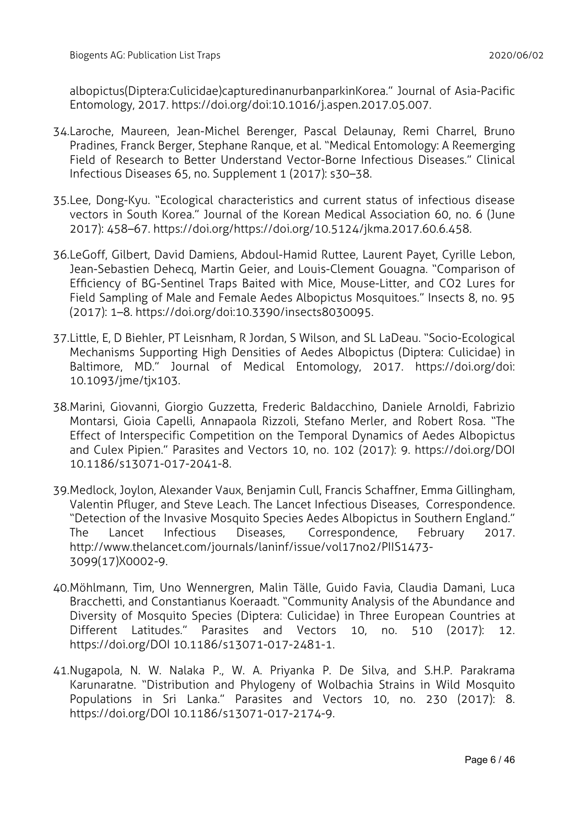albopictus(Diptera:Culicidae)capturedinanurbanparkinKorea." Journal of Asia-Pacific Entomology, 2017. https://doi.org/doi:10.1016/j.aspen.2017.05.007.

- 34.Laroche, Maureen, Jean-Michel Berenger, Pascal Delaunay, Remi Charrel, Bruno Pradines, Franck Berger, Stephane Ranque, et al. "Medical Entomology: A Reemerging Field of Research to Better Understand Vector-Borne Infectious Diseases." Clinical Infectious Diseases 65, no. Supplement 1 (2017): s30–38.
- 35.Lee, Dong-Kyu. "Ecological characteristics and current status of infectious disease vectors in South Korea." Journal of the Korean Medical Association 60, no. 6 (June 2017): 458–67. https://doi.org/https://doi.org/10.5124/jkma.2017.60.6.458.
- 36.LeGoff, Gilbert, David Damiens, Abdoul-Hamid Ruttee, Laurent Payet, Cyrille Lebon, Jean-Sebastien Dehecq, Martin Geier, and Louis-Clement Gouagna. "Comparison of Efficiency of BG-Sentinel Traps Baited with Mice, Mouse-Litter, and CO2 Lures for Field Sampling of Male and Female Aedes Albopictus Mosquitoes." Insects 8, no. 95 (2017): 1–8. https://doi.org/doi:10.3390/insects8030095.
- 37.Little, E, D Biehler, PT Leisnham, R Jordan, S Wilson, and SL LaDeau. "Socio-Ecological Mechanisms Supporting High Densities of Aedes Albopictus (Diptera: Culicidae) in Baltimore, MD." Journal of Medical Entomology, 2017. https://doi.org/doi: 10.1093/jme/tjx103.
- 38.Marini, Giovanni, Giorgio Guzzetta, Frederic Baldacchino, Daniele Arnoldi, Fabrizio Montarsi, Gioia Capelli, Annapaola Rizzoli, Stefano Merler, and Robert Rosa. "The Effect of Interspecific Competition on the Temporal Dynamics of Aedes Albopictus and Culex Pipien." Parasites and Vectors 10, no. 102 (2017): 9. https://doi.org/DOI 10.1186/s13071-017-2041-8.
- 39.Medlock, Joylon, Alexander Vaux, Benjamin Cull, Francis Schaffner, Emma Gillingham, Valentin Pfluger, and Steve Leach. The Lancet Infectious Diseases, Correspondence. "Detection of the Invasive Mosquito Species Aedes Albopictus in Southern England." The Lancet Infectious Diseases, Correspondence, February 2017. http://www.thelancet.com/journals/laninf/issue/vol17no2/PIIS1473- 3099(17)X0002-9.
- 40.Möhlmann, Tim, Uno Wennergren, Malin Tälle, Guido Favia, Claudia Damani, Luca Bracchetti, and Constantianus Koeraadt. "Community Analysis of the Abundance and Diversity of Mosquito Species (Diptera: Culicidae) in Three European Countries at Different Latitudes." Parasites and Vectors 10, no. 510 (2017): 12. https://doi.org/DOI 10.1186/s13071-017-2481-1.
- 41.Nugapola, N. W. Nalaka P., W. A. Priyanka P. De Silva, and S.H.P. Parakrama Karunaratne. "Distribution and Phylogeny of Wolbachia Strains in Wild Mosquito Populations in Sri Lanka." Parasites and Vectors 10, no. 230 (2017): 8. https://doi.org/DOI 10.1186/s13071-017-2174-9.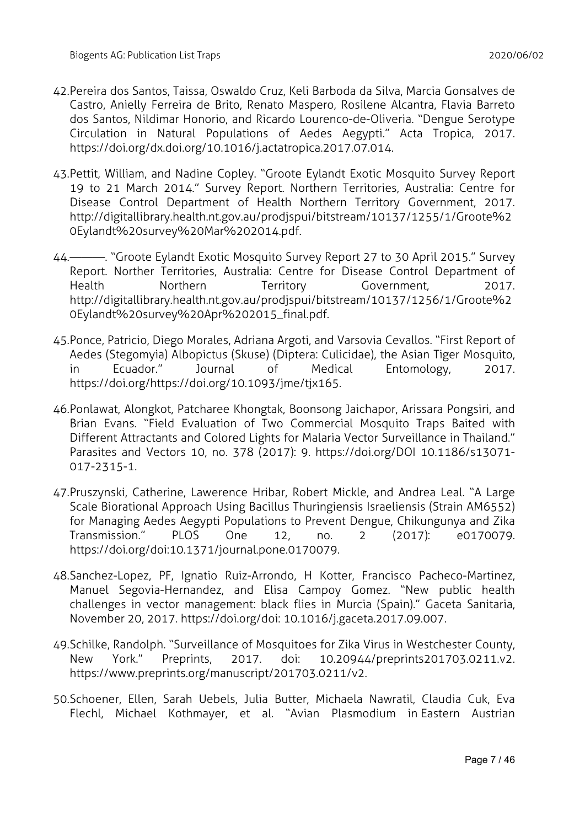- 42.Pereira dos Santos, Taissa, Oswaldo Cruz, Keli Barboda da Silva, Marcia Gonsalves de Castro, Anielly Ferreira de Brito, Renato Maspero, Rosilene Alcantra, Flavia Barreto dos Santos, Nildimar Honorio, and Ricardo Lourenco-de-Oliveria. "Dengue Serotype Circulation in Natural Populations of Aedes Aegypti." Acta Tropica, 2017. https://doi.org/dx.doi.org/10.1016/j.actatropica.2017.07.014.
- 43.Pettit, William, and Nadine Copley. "Groote Eylandt Exotic Mosquito Survey Report 19 to 21 March 2014." Survey Report. Northern Territories, Australia: Centre for Disease Control Department of Health Northern Territory Government, 2017. http://digitallibrary.health.nt.gov.au/prodjspui/bitstream/10137/1255/1/Groote%2 0Eylandt%20survey%20Mar%202014.pdf.
- 44.———. "Groote Eylandt Exotic Mosquito Survey Report 27 to 30 April 2015." Survey Report. Norther Territories, Australia: Centre for Disease Control Department of Health Northern Territory Government, 2017. http://digitallibrary.health.nt.gov.au/prodjspui/bitstream/10137/1256/1/Groote%2 0Eylandt%20survey%20Apr%202015\_final.pdf.
- 45.Ponce, Patricio, Diego Morales, Adriana Argoti, and Varsovia Cevallos. "First Report of Aedes (Stegomyia) Albopictus (Skuse) (Diptera: Culicidae), the Asian Tiger Mosquito, in Ecuador." Journal of Medical Entomology, 2017. https://doi.org/https://doi.org/10.1093/jme/tjx165.
- 46.Ponlawat, Alongkot, Patcharee Khongtak, Boonsong Jaichapor, Arissara Pongsiri, and Brian Evans. "Field Evaluation of Two Commercial Mosquito Traps Baited with Different Attractants and Colored Lights for Malaria Vector Surveillance in Thailand." Parasites and Vectors 10, no. 378 (2017): 9. https://doi.org/DOI 10.1186/s13071- 017-2315-1.
- 47.Pruszynski, Catherine, Lawerence Hribar, Robert Mickle, and Andrea Leal. "A Large Scale Biorational Approach Using Bacillus Thuringiensis Israeliensis (Strain AM6552) for Managing Aedes Aegypti Populations to Prevent Dengue, Chikungunya and Zika Transmission." PLOS One 12, no. 2 (2017): e0170079. https://doi.org/doi:10.1371/journal.pone.0170079.
- 48.Sanchez-Lopez, PF, Ignatio Ruiz-Arrondo, H Kotter, Francisco Pacheco-Martinez, Manuel Segovia-Hernandez, and Elisa Campoy Gomez. "New public health challenges in vector management: black flies in Murcia (Spain)." Gaceta Sanitaria, November 20, 2017. https://doi.org/doi: 10.1016/j.gaceta.2017.09.007.
- 49.Schilke, Randolph. "Surveillance of Mosquitoes for Zika Virus in Westchester County, New York." Preprints, 2017. doi: 10.20944/preprints201703.0211.v2. https://www.preprints.org/manuscript/201703.0211/v2.
- 50.Schoener, Ellen, Sarah Uebels, Julia Butter, Michaela Nawratil, Claudia Cuk, Eva Flechl, Michael Kothmayer, et al. "Avian Plasmodium in Eastern Austrian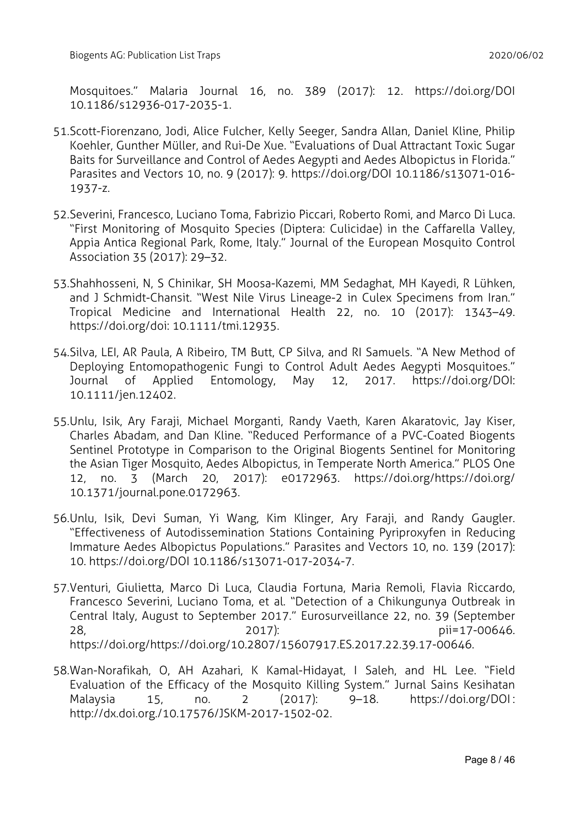Mosquitoes." Malaria Journal 16, no. 389 (2017): 12. https://doi.org/DOI 10.1186/s12936-017-2035-1.

- 51.Scott-Fiorenzano, Jodi, Alice Fulcher, Kelly Seeger, Sandra Allan, Daniel Kline, Philip Koehler, Gunther Müller, and Rui-De Xue. "Evaluations of Dual Attractant Toxic Sugar Baits for Surveillance and Control of Aedes Aegypti and Aedes Albopictus in Florida." Parasites and Vectors 10, no. 9 (2017): 9. https://doi.org/DOI 10.1186/s13071-016- 1937-z.
- 52.Severini, Francesco, Luciano Toma, Fabrizio Piccari, Roberto Romi, and Marco Di Luca. "First Monitoring of Mosquito Species (Diptera: Culicidae) in the Caffarella Valley, Appia Antica Regional Park, Rome, Italy." Journal of the European Mosquito Control Association 35 (2017): 29–32.
- 53.Shahhosseni, N, S Chinikar, SH Moosa-Kazemi, MM Sedaghat, MH Kayedi, R Lühken, and J Schmidt-Chansit. "West Nile Virus Lineage-2 in Culex Specimens from Iran." Tropical Medicine and International Health 22, no. 10 (2017): 1343–49. https://doi.org/doi: 10.1111/tmi.12935.
- 54.Silva, LEI, AR Paula, A Ribeiro, TM Butt, CP Silva, and RI Samuels. "A New Method of Deploying Entomopathogenic Fungi to Control Adult Aedes Aegypti Mosquitoes." Journal of Applied Entomology, May 12, 2017. https://doi.org/DOI: 10.1111/jen.12402.
- 55.Unlu, Isik, Ary Faraji, Michael Morganti, Randy Vaeth, Karen Akaratovic, Jay Kiser, Charles Abadam, and Dan Kline. "Reduced Performance of a PVC-Coated Biogents Sentinel Prototype in Comparison to the Original Biogents Sentinel for Monitoring the Asian Tiger Mosquito, Aedes Albopictus, in Temperate North America." PLOS One 12, no. 3 (March 20, 2017): e0172963. https://doi.org/https://doi.org/ 10.1371/journal.pone.0172963.
- 56.Unlu, Isik, Devi Suman, Yi Wang, Kim Klinger, Ary Faraji, and Randy Gaugler. "Effectiveness of Autodissemination Stations Containing Pyriproxyfen in Reducing Immature Aedes Albopictus Populations." Parasites and Vectors 10, no. 139 (2017): 10. https://doi.org/DOI 10.1186/s13071-017-2034-7.
- 57.Venturi, Giulietta, Marco Di Luca, Claudia Fortuna, Maria Remoli, Flavia Riccardo, Francesco Severini, Luciano Toma, et al. "Detection of a Chikungunya Outbreak in Central Italy, August to September 2017." Eurosurveillance 22, no. 39 (September 28. pii=17-00646. https://doi.org/https://doi.org/10.2807/15607917.ES.2017.22.39.17-00646.
- 58.Wan-Norafikah, O, AH Azahari, K Kamal-Hidayat, I Saleh, and HL Lee. "Field Evaluation of the Efficacy of the Mosquito Killing System." Jurnal Sains Kesihatan Malaysia 15, no. 2 (2017): 9–18. https://doi.org/DOI : http://dx.doi.org./10.17576/JSKM-2017-1502-02.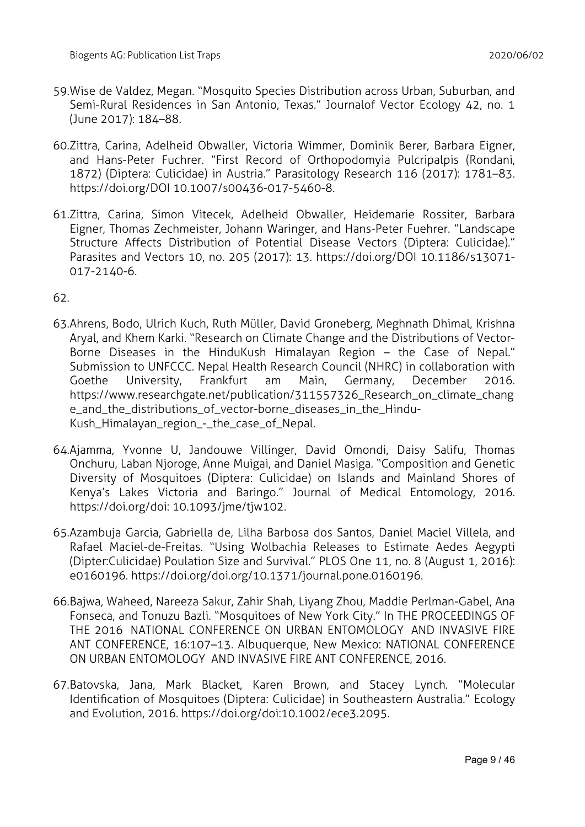- 59.Wise de Valdez, Megan. "Mosquito Species Distribution across Urban, Suburban, and Semi-Rural Residences in San Antonio, Texas." Journalof Vector Ecology 42, no. 1 (June 2017): 184–88.
- 60.Zittra, Carina, Adelheid Obwaller, Victoria Wimmer, Dominik Berer, Barbara Eigner, and Hans-Peter Fuchrer. "First Record of Orthopodomyia Pulcripalpis (Rondani, 1872) (Diptera: Culicidae) in Austria." Parasitology Research 116 (2017): 1781–83. https://doi.org/DOI 10.1007/s00436-017-5460-8.
- 61.Zittra, Carina, Simon Vitecek, Adelheid Obwaller, Heidemarie Rossiter, Barbara Eigner, Thomas Zechmeister, Johann Waringer, and Hans-Peter Fuehrer. "Landscape Structure Affects Distribution of Potential Disease Vectors (Diptera: Culicidae)." Parasites and Vectors 10, no. 205 (2017): 13. https://doi.org/DOI 10.1186/s13071- 017-2140-6.

#### 62.

- 63.Ahrens, Bodo, Ulrich Kuch, Ruth Müller, David Groneberg, Meghnath Dhimal, Krishna Aryal, and Khem Karki. "Research on Climate Change and the Distributions of Vector-Borne Diseases in the HinduKush Himalayan Region – the Case of Nepal." Submission to UNFCCC. Nepal Health Research Council (NHRC) in collaboration with Goethe University, Frankfurt am Main, Germany, December 2016. https://www.researchgate.net/publication/311557326\_Research\_on\_climate\_chang e\_and\_the\_distributions\_of\_vector-borne\_diseases\_in\_the\_Hindu-Kush\_Himalayan\_region\_-\_the\_case\_of\_Nepal.
- 64.Ajamma, Yvonne U, Jandouwe Villinger, David Omondi, Daisy Salifu, Thomas Onchuru, Laban Njoroge, Anne Muigai, and Daniel Masiga. "Composition and Genetic Diversity of Mosquitoes (Diptera: Culicidae) on Islands and Mainland Shores of Kenya's Lakes Victoria and Baringo." Journal of Medical Entomology, 2016. https://doi.org/doi: 10.1093/jme/tjw102.
- 65.Azambuja Garcia, Gabriella de, Lilha Barbosa dos Santos, Daniel Maciel Villela, and Rafael Maciel-de-Freitas. "Using Wolbachia Releases to Estimate Aedes Aegypti (Dipter:Culicidae) Poulation Size and Survival." PLOS One 11, no. 8 (August 1, 2016): e0160196. https://doi.org/doi.org/10.1371/journal.pone.0160196.
- 66.Bajwa, Waheed, Nareeza Sakur, Zahir Shah, Liyang Zhou, Maddie Perlman-Gabel, Ana Fonseca, and Tonuzu Bazli. "Mosquitoes of New York City." In THE PROCEEDINGS OF THE 2016 NATIONAL CONFERENCE ON URBAN ENTOMOLOGY AND INVASIVE FIRE ANT CONFERENCE, 16:107–13. Albuquerque, New Mexico: NATIONAL CONFERENCE ON URBAN ENTOMOLOGY AND INVASIVE FIRE ANT CONFERENCE, 2016.
- 67.Batovska, Jana, Mark Blacket, Karen Brown, and Stacey Lynch. "Molecular Identification of Mosquitoes (Diptera: Culicidae) in Southeastern Australia." Ecology and Evolution, 2016. https://doi.org/doi:10.1002/ece3.2095.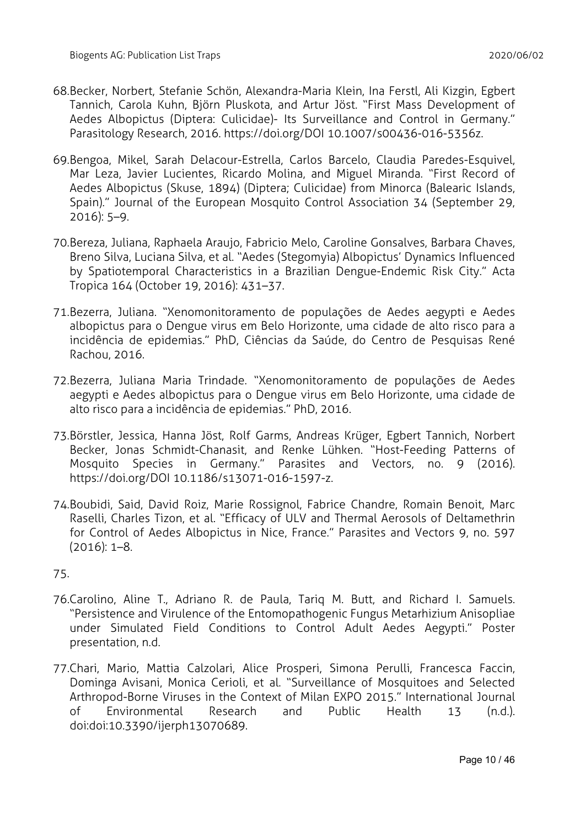- 68.Becker, Norbert, Stefanie Schön, Alexandra-Maria Klein, Ina Ferstl, Ali Kizgin, Egbert Tannich, Carola Kuhn, Björn Pluskota, and Artur Jöst. "First Mass Development of Aedes Albopictus (Diptera: Culicidae)- Its Surveillance and Control in Germany." Parasitology Research, 2016. https://doi.org/DOI 10.1007/s00436-016-5356z.
- 69.Bengoa, Mikel, Sarah Delacour-Estrella, Carlos Barcelo, Claudia Paredes-Esquivel, Mar Leza, Javier Lucientes, Ricardo Molina, and Miguel Miranda. "First Record of Aedes Albopictus (Skuse, 1894) (Diptera; Culicidae) from Minorca (Balearic Islands, Spain)." Journal of the European Mosquito Control Association 34 (September 29, 2016): 5–9.
- 70.Bereza, Juliana, Raphaela Araujo, Fabricio Melo, Caroline Gonsalves, Barbara Chaves, Breno Silva, Luciana Silva, et al. "Aedes (Stegomyia) Albopictus' Dynamics Influenced by Spatiotemporal Characteristics in a Brazilian Dengue-Endemic Risk City." Acta Tropica 164 (October 19, 2016): 431–37.
- 71.Bezerra, Juliana. "Xenomonitoramento de populações de Aedes aegypti e Aedes albopictus para o Dengue virus em Belo Horizonte, uma cidade de alto risco para a incidência de epidemias." PhD, Ciências da Saúde, do Centro de Pesquisas René Rachou, 2016.
- 72.Bezerra, Juliana Maria Trindade. "Xenomonitoramento de populações de Aedes aegypti e Aedes albopictus para o Dengue virus em Belo Horizonte, uma cidade de alto risco para a incidência de epidemias." PhD, 2016.
- 73.Börstler, Jessica, Hanna Jöst, Rolf Garms, Andreas Krüger, Egbert Tannich, Norbert Becker, Jonas Schmidt-Chanasit, and Renke Lühken. "Host-Feeding Patterns of Mosquito Species in Germany." Parasites and Vectors, no. 9 (2016). https://doi.org/DOI 10.1186/s13071-016-1597-z.
- 74.Boubidi, Said, David Roiz, Marie Rossignol, Fabrice Chandre, Romain Benoit, Marc Raselli, Charles Tizon, et al. "Efficacy of ULV and Thermal Aerosols of Deltamethrin for Control of Aedes Albopictus in Nice, France." Parasites and Vectors 9, no. 597 (2016): 1–8.
- 75.
- 76.Carolino, Aline T., Adriano R. de Paula, Tariq M. Butt, and Richard I. Samuels. "Persistence and Virulence of the Entomopathogenic Fungus Metarhizium Anisopliae under Simulated Field Conditions to Control Adult Aedes Aegypti." Poster presentation, n.d.
- 77.Chari, Mario, Mattia Calzolari, Alice Prosperi, Simona Perulli, Francesca Faccin, Dominga Avisani, Monica Cerioli, et al. "Surveillance of Mosquitoes and Selected Arthropod-Borne Viruses in the Context of Milan EXPO 2015." International Journal of Environmental Research and Public Health 13 (n.d.). doi:doi:10.3390/ijerph13070689.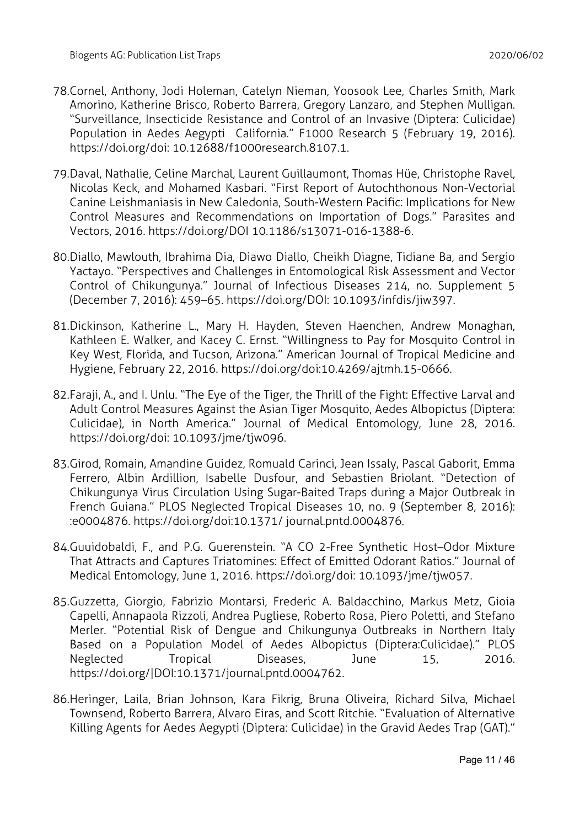- 78.Cornel, Anthony, Jodi Holeman, Catelyn Nieman, Yoosook Lee, Charles Smith, Mark Amorino, Katherine Brisco, Roberto Barrera, Gregory Lanzaro, and Stephen Mulligan. "Surveillance, Insecticide Resistance and Control of an Invasive (Diptera: Culicidae) Population in Aedes Aegypti California." F1000 Research 5 (February 19, 2016). https://doi.org/doi: 10.12688/f1000research.8107.1.
- 79.Daval, Nathalie, Celine Marchal, Laurent Guillaumont, Thomas Hüe, Christophe Ravel, Nicolas Keck, and Mohamed Kasbari. "First Report of Autochthonous Non-Vectorial Canine Leishmaniasis in New Caledonia, South-Western Pacific: Implications for New Control Measures and Recommendations on Importation of Dogs." Parasites and Vectors, 2016. https://doi.org/DOI 10.1186/s13071-016-1388-6.
- 80.Diallo, Mawlouth, Ibrahima Dia, Diawo Diallo, Cheikh Diagne, Tidiane Ba, and Sergio Yactayo. "Perspectives and Challenges in Entomological Risk Assessment and Vector Control of Chikungunya." Journal of Infectious Diseases 214, no. Supplement 5 (December 7, 2016): 459–65. https://doi.org/DOI: 10.1093/infdis/jiw397.
- 81.Dickinson, Katherine L., Mary H. Hayden, Steven Haenchen, Andrew Monaghan, Kathleen E. Walker, and Kacey C. Ernst. "Willingness to Pay for Mosquito Control in Key West, Florida, and Tucson, Arizona." American Journal of Tropical Medicine and Hygiene, February 22, 2016. https://doi.org/doi:10.4269/ajtmh.15-0666.
- 82.Faraji, A., and I. Unlu. "The Eye of the Tiger, the Thrill of the Fight: Effective Larval and Adult Control Measures Against the Asian Tiger Mosquito, Aedes Albopictus (Diptera: Culicidae), in North America." Journal of Medical Entomology, June 28, 2016. https://doi.org/doi: 10.1093/jme/tjw096.
- 83.Girod, Romain, Amandine Guidez, Romuald Carinci, Jean Issaly, Pascal Gaborit, Emma Ferrero, Albin Ardillion, Isabelle Dusfour, and Sebastien Briolant. "Detection of Chikungunya Virus Circulation Using Sugar-Baited Traps during a Major Outbreak in French Guiana." PLOS Neglected Tropical Diseases 10, no. 9 (September 8, 2016): :e0004876. https://doi.org/doi:10.1371/ journal.pntd.0004876.
- 84.Guuidobaldi, F., and P.G. Guerenstein. "A CO 2-Free Synthetic Host–Odor Mixture That Attracts and Captures Triatomines: Effect of Emitted Odorant Ratios." Journal of Medical Entomology, June 1, 2016. https://doi.org/doi: 10.1093/jme/tjw057.
- 85.Guzzetta, Giorgio, Fabrizio Montarsi, Frederic A. Baldacchino, Markus Metz, Gioia Capelli, Annapaola Rizzoli, Andrea Pugliese, Roberto Rosa, Piero Poletti, and Stefano Merler. "Potential Risk of Dengue and Chikungunya Outbreaks in Northern Italy Based on a Population Model of Aedes Albopictus (Diptera:Culicidae)." PLOS Neglected Tropical Diseases, June 15, 2016. https://doi.org/|DOI:10.1371/journal.pntd.0004762.
- 86.Heringer, Laila, Brian Johnson, Kara Fikrig, Bruna Oliveira, Richard Silva, Michael Townsend, Roberto Barrera, Alvaro Eiras, and Scott Ritchie. "Evaluation of Alternative Killing Agents for Aedes Aegypti (Diptera: Culicidae) in the Gravid Aedes Trap (GAT)."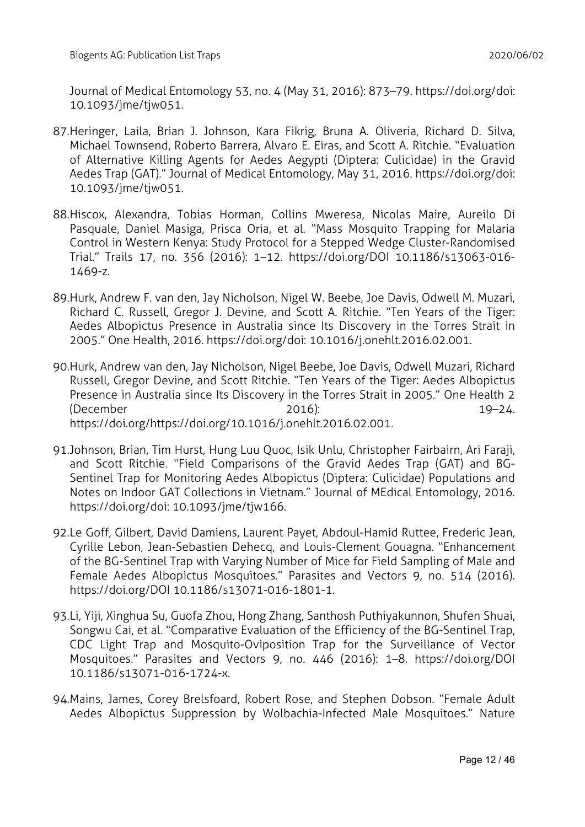Journal of Medical Entomology 53, no. 4 (May 31, 2016): 873–79. https://doi.org/doi: 10.1093/jme/tjw051.

- 87.Heringer, Laila, Brian J. Johnson, Kara Fikrig, Bruna A. Oliveria, Richard D. Silva, Michael Townsend, Roberto Barrera, Alvaro E. Eiras, and Scott A. Ritchie. "Evaluation of Alternative Killing Agents for Aedes Aegypti (Diptera: Culicidae) in the Gravid Aedes Trap (GAT)." Journal of Medical Entomology, May 31, 2016. https://doi.org/doi: 10.1093/jme/tjw051.
- 88.Hiscox, Alexandra, Tobias Horman, Collins Mweresa, Nicolas Maire, Aureilo Di Pasquale, Daniel Masiga, Prisca Oria, et al. "Mass Mosquito Trapping for Malaria Control in Western Kenya: Study Protocol for a Stepped Wedge Cluster-Randomised Trial." Trails 17, no. 356 (2016): 1–12. https://doi.org/DOI 10.1186/s13063-016- 1469-z.
- 89.Hurk, Andrew F. van den, Jay Nicholson, Nigel W. Beebe, Joe Davis, Odwell M. Muzari, Richard C. Russell, Gregor J. Devine, and Scott A. Ritchie. "Ten Years of the Tiger: Aedes Albopictus Presence in Australia since Its Discovery in the Torres Strait in 2005." One Health, 2016. https://doi.org/doi: 10.1016/j.onehlt.2016.02.001.
- 90.Hurk, Andrew van den, Jay Nicholson, Nigel Beebe, Joe Davis, Odwell Muzari, Richard Russell, Gregor Devine, and Scott Ritchie. "Ten Years of the Tiger: Aedes Albopictus Presence in Australia since Its Discovery in the Torres Strait in 2005." One Health 2 (December 2016): 19–24. https://doi.org/https://doi.org/10.1016/j.onehlt.2016.02.001.
- 91.Johnson, Brian, Tim Hurst, Hung Luu Quoc, Isik Unlu, Christopher Fairbairn, Ari Faraji, and Scott Ritchie. "Field Comparisons of the Gravid Aedes Trap (GAT) and BG-Sentinel Trap for Monitoring Aedes Albopictus (Diptera: Culicidae) Populations and Notes on Indoor GAT Collections in Vietnam." Journal of MEdical Entomology, 2016. https://doi.org/doi: 10.1093/jme/tjw166.
- 92.Le Goff, Gilbert, David Damiens, Laurent Payet, Abdoul-Hamid Ruttee, Frederic Jean, Cyrille Lebon, Jean-Sebastien Dehecq, and Louis-Clement Gouagna. "Enhancement of the BG-Sentinel Trap with Varying Number of Mice for Field Sampling of Male and Female Aedes Albopictus Mosquitoes." Parasites and Vectors 9, no. 514 (2016). https://doi.org/DOI 10.1186/s13071-016-1801-1.
- 93.Li, Yiji, Xinghua Su, Guofa Zhou, Hong Zhang, Santhosh Puthiyakunnon, Shufen Shuai, Songwu Cai, et al. "Comparative Evaluation of the Efficiency of the BG-Sentinel Trap, CDC Light Trap and Mosquito-Oviposition Trap for the Surveillance of Vector Mosquitoes." Parasites and Vectors 9, no. 446 (2016): 1–8. https://doi.org/DOI 10.1186/s13071-016-1724-x.
- 94.Mains, James, Corey Brelsfoard, Robert Rose, and Stephen Dobson. "Female Adult Aedes Albopictus Suppression by Wolbachia-Infected Male Mosquitoes." Nature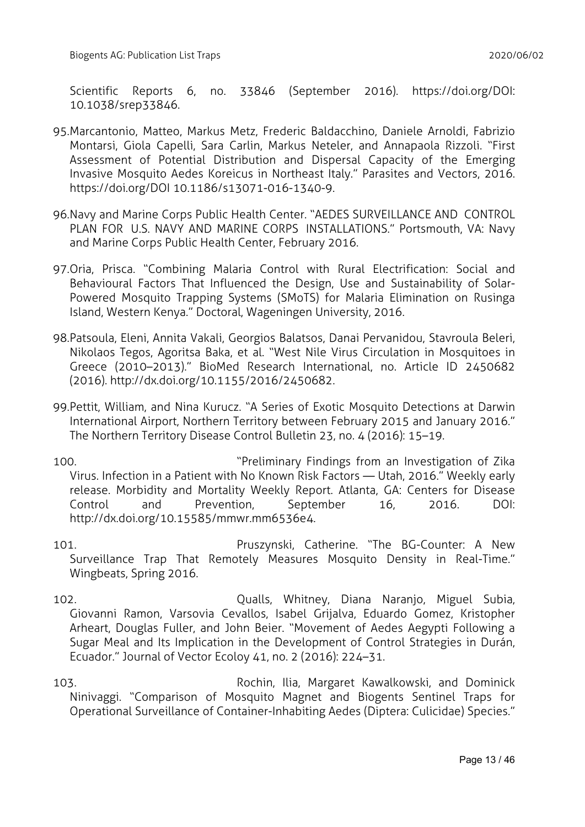Scientific Reports 6, no. 33846 (September 2016). https://doi.org/DOI: 10.1038/srep33846.

- 95.Marcantonio, Matteo, Markus Metz, Frederic Baldacchino, Daniele Arnoldi, Fabrizio Montarsi, Giola Capelli, Sara Carlin, Markus Neteler, and Annapaola Rizzoli. "First Assessment of Potential Distribution and Dispersal Capacity of the Emerging Invasive Mosquito Aedes Koreicus in Northeast Italy." Parasites and Vectors, 2016. https://doi.org/DOI 10.1186/s13071-016-1340-9.
- 96.Navy and Marine Corps Public Health Center. "AEDES SURVEILLANCE AND CONTROL PLAN FOR U.S. NAVY AND MARINE CORPS INSTALLATIONS." Portsmouth, VA: Navy and Marine Corps Public Health Center, February 2016.
- 97.Oria, Prisca. "Combining Malaria Control with Rural Electrification: Social and Behavioural Factors That Influenced the Design, Use and Sustainability of Solar-Powered Mosquito Trapping Systems (SMoTS) for Malaria Elimination on Rusinga Island, Western Kenya." Doctoral, Wageningen University, 2016.
- 98.Patsoula, Eleni, Annita Vakali, Georgios Balatsos, Danai Pervanidou, Stavroula Beleri, Nikolaos Tegos, Agoritsa Baka, et al. "West Nile Virus Circulation in Mosquitoes in Greece (2010–2013)." BioMed Research International, no. Article ID 2450682 (2016). http://dx.doi.org/10.1155/2016/2450682.
- 99.Pettit, William, and Nina Kurucz. "A Series of Exotic Mosquito Detections at Darwin International Airport, Northern Territory between February 2015 and January 2016." The Northern Territory Disease Control Bulletin 23, no. 4 (2016): 15–19.
- 100. "Preliminary Findings from an Investigation of Zika Virus. Infection in a Patient with No Known Risk Factors — Utah, 2016." Weekly early release. Morbidity and Mortality Weekly Report. Atlanta, GA: Centers for Disease Control and Prevention, September 16, 2016. DOI: http://dx.doi.org/10.15585/mmwr.mm6536e4.
- 101. Pruszynski, Catherine. "The BG-Counter: A New Surveillance Trap That Remotely Measures Mosquito Density in Real-Time." Wingbeats, Spring 2016.
- 102. Qualls, Whitney, Diana Naranjo, Miguel Subia, Giovanni Ramon, Varsovia Cevallos, Isabel Grijalva, Eduardo Gomez, Kristopher Arheart, Douglas Fuller, and John Beier. "Movement of Aedes Aegypti Following a Sugar Meal and Its Implication in the Development of Control Strategies in Durán, Ecuador." Journal of Vector Ecoloy 41, no. 2 (2016): 224–31.
- 103. Rochin, Ilia, Margaret Kawalkowski, and Dominick Ninivaggi. "Comparison of Mosquito Magnet and Biogents Sentinel Traps for Operational Surveillance of Container-Inhabiting Aedes (Diptera: Culicidae) Species."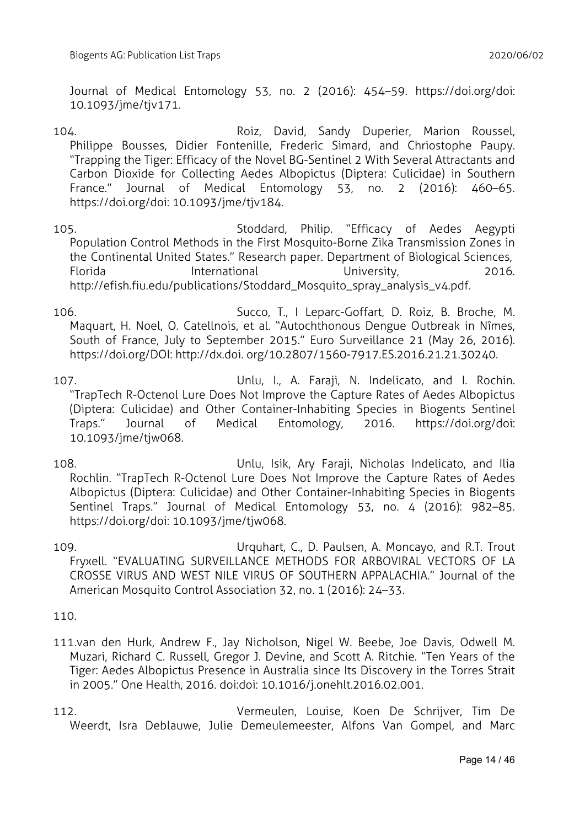Journal of Medical Entomology 53, no. 2 (2016): 454–59. https://doi.org/doi: 10.1093/jme/tjv171.

- 104. Roiz, David, Sandy Duperier, Marion Roussel, Philippe Bousses, Didier Fontenille, Frederic Simard, and Chriostophe Paupy. "Trapping the Tiger: Efficacy of the Novel BG-Sentinel 2 With Several Attractants and Carbon Dioxide for Collecting Aedes Albopictus (Diptera: Culicidae) in Southern France." Journal of Medical Entomology 53, no. 2 (2016): 460–65. https://doi.org/doi: 10.1093/jme/tjv184.
- 105. Stoddard, Philip. "Efficacy of Aedes Aegypti Population Control Methods in the First Mosquito-Borne Zika Transmission Zones in the Continental United States." Research paper. Department of Biological Sciences, Florida **International University**, 2016. http://efish.fiu.edu/publications/Stoddard\_Mosquito\_spray\_analysis\_v4.pdf.
- 106. Succo, T., I Leparc-Goffart, D. Roiz, B. Broche, M. Maquart, H. Noel, O. Catellnois, et al. "Autochthonous Dengue Outbreak in Nîmes, South of France, July to September 2015." Euro Surveillance 21 (May 26, 2016). https://doi.org/DOI: http://dx.doi. org/10.2807/1560-7917.ES.2016.21.21.30240.
- 107. Unlu, I., A. Faraji, N. Indelicato, and I. Rochin. "TrapTech R-Octenol Lure Does Not Improve the Capture Rates of Aedes Albopictus (Diptera: Culicidae) and Other Container-Inhabiting Species in Biogents Sentinel Traps." Journal of Medical Entomology, 2016. https://doi.org/doi: 10.1093/jme/tjw068.
- 108. Unlu, Isik, Ary Faraji, Nicholas Indelicato, and Ilia Rochlin. "TrapTech R-Octenol Lure Does Not Improve the Capture Rates of Aedes Albopictus (Diptera: Culicidae) and Other Container-Inhabiting Species in Biogents Sentinel Traps." Journal of Medical Entomology 53, no. 4 (2016): 982–85. https://doi.org/doi: 10.1093/jme/tjw068.
- 109. Urquhart, C., D. Paulsen, A. Moncayo, and R.T. Trout Fryxell. "EVALUATING SURVEILLANCE METHODS FOR ARBOVIRAL VECTORS OF LA CROSSE VIRUS AND WEST NILE VIRUS OF SOUTHERN APPALACHIA." Journal of the American Mosquito Control Association 32, no. 1 (2016): 24–33.

110.

- 111.van den Hurk, Andrew F., Jay Nicholson, Nigel W. Beebe, Joe Davis, Odwell M. Muzari, Richard C. Russell, Gregor J. Devine, and Scott A. Ritchie. "Ten Years of the Tiger: Aedes Albopictus Presence in Australia since Its Discovery in the Torres Strait in 2005." One Health, 2016. doi:doi: 10.1016/j.onehlt.2016.02.001.
- 112. Vermeulen, Louise, Koen De Schrijver, Tim De Weerdt, Isra Deblauwe, Julie Demeulemeester, Alfons Van Gompel, and Marc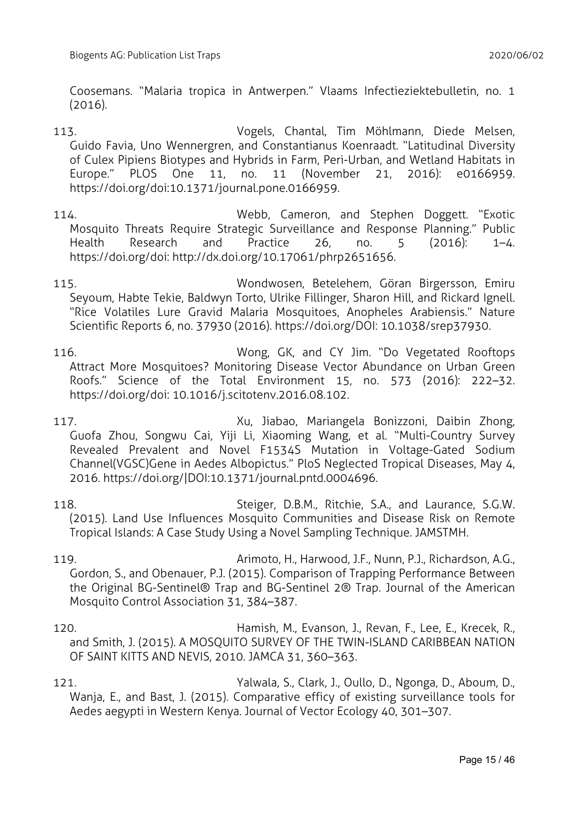Coosemans. "Malaria tropica in Antwerpen." Vlaams Infectieziektebulletin, no. 1 (2016).

- 113. Vogels, Chantal, Tim Möhlmann, Diede Melsen, Guido Favia, Uno Wennergren, and Constantianus Koenraadt. "Latitudinal Diversity of Culex Pipiens Biotypes and Hybrids in Farm, Peri-Urban, and Wetland Habitats in Europe." PLOS One 11, no. 11 (November 21, 2016): e0166959. https://doi.org/doi:10.1371/journal.pone.0166959.
- 114. Webb, Cameron, and Stephen Doggett. "Exotic Mosquito Threats Require Strategic Surveillance and Response Planning." Public Health Research and Practice 26, no. 5 (2016): 1–4. https://doi.org/doi: http://dx.doi.org/10.17061/phrp2651656.
- 115. Wondwosen, Betelehem, Göran Birgersson, Emiru Seyoum, Habte Tekie, Baldwyn Torto, Ulrike Fillinger, Sharon Hill, and Rickard Ignell. "Rice Volatiles Lure Gravid Malaria Mosquitoes, Anopheles Arabiensis." Nature Scientific Reports 6, no. 37930 (2016). https://doi.org/DOI: 10.1038/srep37930.
- 116. Wong, GK, and CY Jim. "Do Vegetated Rooftops Attract More Mosquitoes? Monitoring Disease Vector Abundance on Urban Green Roofs." Science of the Total Environment 15, no. 573 (2016): 222–32. https://doi.org/doi: 10.1016/j.scitotenv.2016.08.102.
- 117. Xu, Jiabao, Mariangela Bonizzoni, Daibin Zhong, Guofa Zhou, Songwu Cai, Yiji Li, Xiaoming Wang, et al. "Multi-Country Survey Revealed Prevalent and Novel F1534S Mutation in Voltage-Gated Sodium Channel(VGSC)Gene in Aedes Albopictus." PloS Neglected Tropical Diseases, May 4, 2016. https://doi.org/|DOI:10.1371/journal.pntd.0004696.
- 118. Steiger, D.B.M., Ritchie, S.A., and Laurance, S.G.W. (2015). Land Use Influences Mosquito Communities and Disease Risk on Remote Tropical Islands: A Case Study Using a Novel Sampling Technique. JAMSTMH.
- 119. Arimoto, H., Harwood, J.F., Nunn, P.J., Richardson, A.G., Gordon, S., and Obenauer, P.J. (2015). Comparison of Trapping Performance Between the Original BG-Sentinel® Trap and BG-Sentinel 2® Trap. Journal of the American Mosquito Control Association 31, 384–387.
- 120. Hamish, M., Evanson, J., Revan, F., Lee, E., Krecek, R., and Smith, J. (2015). A MOSQUITO SURVEY OF THE TWIN-ISLAND CARIBBEAN NATION OF SAINT KITTS AND NEVIS, 2010. JAMCA 31, 360–363.
- 121. Yalwala, S., Clark, J., Oullo, D., Ngonga, D., Aboum, D., Wanja, E., and Bast, J. (2015). Comparative efficy of existing surveillance tools for Aedes aegypti in Western Kenya. Journal of Vector Ecology 40, 301–307.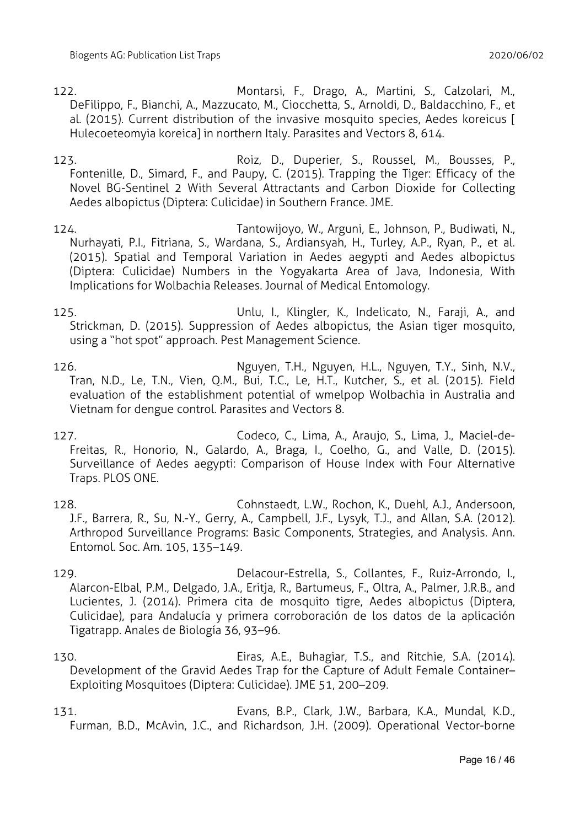122. Montarsi, F., Drago, A., Martini, S., Calzolari, M., DeFilippo, F., Bianchi, A., Mazzucato, M., Ciocchetta, S., Arnoldi, D., Baldacchino, F., et al. (2015). Current distribution of the invasive mosquito species, Aedes koreicus [ Hulecoeteomyia koreica] in northern Italy. Parasites and Vectors 8, 614.

123. Roiz, D., Duperier, S., Roussel, M., Bousses, P., Fontenille, D., Simard, F., and Paupy, C. (2015). Trapping the Tiger: Efficacy of the Novel BG-Sentinel 2 With Several Attractants and Carbon Dioxide for Collecting Aedes albopictus (Diptera: Culicidae) in Southern France. JME.

124. Tantowijoyo, W., Arguni, E., Johnson, P., Budiwati, N., Nurhayati, P.I., Fitriana, S., Wardana, S., Ardiansyah, H., Turley, A.P., Ryan, P., et al. (2015). Spatial and Temporal Variation in Aedes aegypti and Aedes albopictus (Diptera: Culicidae) Numbers in the Yogyakarta Area of Java, Indonesia, With Implications for Wolbachia Releases. Journal of Medical Entomology.

125. Unlu, I., Klingler, K., Indelicato, N., Faraji, A., and Strickman, D. (2015). Suppression of Aedes albopictus, the Asian tiger mosquito, using a "hot spot" approach. Pest Management Science.

126. Nguyen, T.H., Nguyen, H.L., Nguyen, T.Y., Sinh, N.V., Tran, N.D., Le, T.N., Vien, Q.M., Bui, T.C., Le, H.T., Kutcher, S., et al. (2015). Field evaluation of the establishment potential of wmelpop Wolbachia in Australia and Vietnam for dengue control. Parasites and Vectors 8.

127. Codeco, C., Lima, A., Araujo, S., Lima, J., Maciel-de-Freitas, R., Honorio, N., Galardo, A., Braga, I., Coelho, G., and Valle, D. (2015). Surveillance of Aedes aegypti: Comparison of House Index with Four Alternative Traps. PLOS ONE.

128. Cohnstaedt, L.W., Rochon, K., Duehl, A.J., Andersoon, J.F., Barrera, R., Su, N.-Y., Gerry, A., Campbell, J.F., Lysyk, T.J., and Allan, S.A. (2012). Arthropod Surveillance Programs: Basic Components, Strategies, and Analysis. Ann. Entomol. Soc. Am. 105, 135–149.

129. Delacour-Estrella, S., Collantes, F., Ruiz-Arrondo, I., Alarcon-Elbal, P.M., Delgado, J.A., Eritja, R., Bartumeus, F., Oltra, A., Palmer, J.R.B., and Lucientes, J. (2014). Primera cita de mosquito tigre, Aedes albopictus (Diptera, Culicidae), para Andalucía y primera corroboración de los datos de la aplicación Tigatrapp. Anales de Biología 36, 93–96.

130. Eiras, A.E., Buhagiar, T.S., and Ritchie, S.A. (2014). Development of the Gravid Aedes Trap for the Capture of Adult Female Container– Exploiting Mosquitoes (Diptera: Culicidae). JME 51, 200–209.

131. Evans, B.P., Clark, J.W., Barbara, K.A., Mundal, K.D., Furman, B.D., McAvin, J.C., and Richardson, J.H. (2009). Operational Vector-borne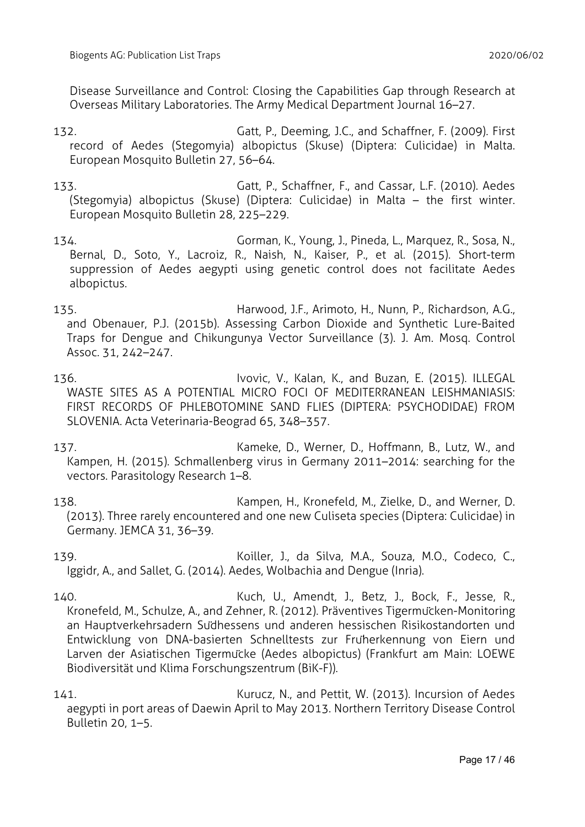Disease Surveillance and Control: Closing the Capabilities Gap through Research at Overseas Military Laboratories. The Army Medical Department Journal 16–27.

- 132. Gatt, P., Deeming, J.C., and Schaffner, F. (2009). First record of Aedes (Stegomyia) albopictus (Skuse) (Diptera: Culicidae) in Malta. European Mosquito Bulletin 27, 56–64.
- 133. Gatt, P., Schaffner, F., and Cassar, L.F. (2010). Aedes (Stegomyia) albopictus (Skuse) (Diptera: Culicidae) in Malta – the first winter. European Mosquito Bulletin 28, 225–229.
- 134. Gorman, K., Young, J., Pineda, L., Marquez, R., Sosa, N., Bernal, D., Soto, Y., Lacroiz, R., Naish, N., Kaiser, P., et al. (2015). Short-term suppression of Aedes aegypti using genetic control does not facilitate Aedes albopictus.
- 135. Harwood, J.F., Arimoto, H., Nunn, P., Richardson, A.G., and Obenauer, P.J. (2015b). Assessing Carbon Dioxide and Synthetic Lure-Baited Traps for Dengue and Chikungunya Vector Surveillance (3). J. Am. Mosq. Control Assoc. 31, 242–247.
- 136. Ivovic, V., Kalan, K., and Buzan, E. (2015). ILLEGAL WASTE SITES AS A POTENTIAL MICRO FOCI OF MEDITERRANEAN LEISHMANIASIS: FIRST RECORDS OF PHLEBOTOMINE SAND FLIES (DIPTERA: PSYCHODIDAE) FROM SLOVENIA. Acta Veterinaria-Beograd 65, 348–357.
- 137. Kameke, D., Werner, D., Hoffmann, B., Lutz, W., and Kampen, H. (2015). Schmallenberg virus in Germany 2011–2014: searching for the vectors. Parasitology Research 1–8.
- 138. Kampen, H., Kronefeld, M., Zielke, D., and Werner, D. (2013). Three rarely encountered and one new Culiseta species (Diptera: Culicidae) in Germany. JEMCA 31, 36–39.
- 139. Koiller, J., da Silva, M.A., Souza, M.O., Codeco, C., Iggidr, A., and Sallet, G. (2014). Aedes, Wolbachia and Dengue (Inria).
- 140. Kuch, U., Amendt, J., Betz, J., Bock, F., Jesse, R., Kronefeld, M., Schulze, A., and Zehner, R. (2012). Präventives Tigermücken-Monitoring an Hauptverkehrsadern Südhessens und anderen hessischen Risikostandorten und Entwicklung von DNA-basierten Schnelltests zur Früherkennung von Eiern und Larven der Asiatischen Tigermucke (Aedes albopictus) (Frankfurt am Main: LOEWE Biodiversität und Klima Forschungszentrum (BiK-F)).
- 141. Kurucz, N., and Pettit, W. (2013). Incursion of Aedes aegypti in port areas of Daewin April to May 2013. Northern Territory Disease Control Bulletin 20, 1–5.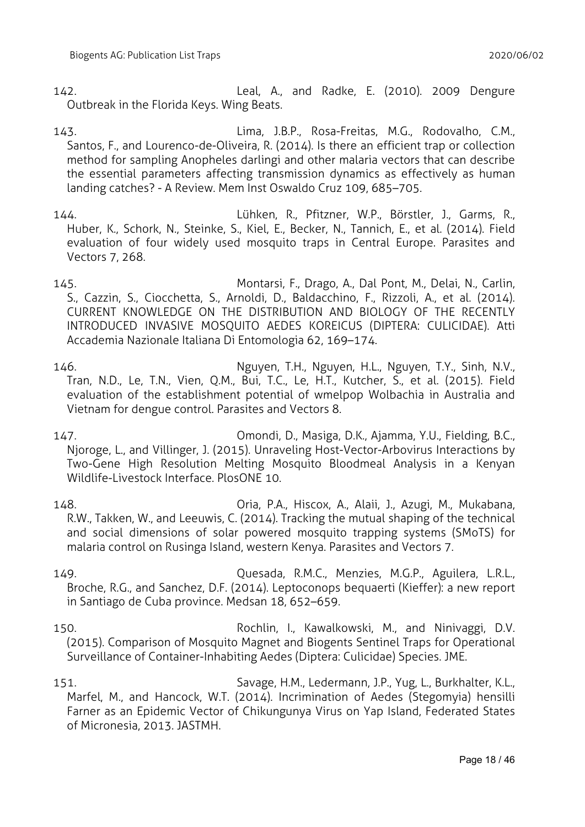142. Leal, A., and Radke, E. (2010). 2009 Dengure Outbreak in the Florida Keys. Wing Beats.

- 143. Lima, J.B.P., Rosa-Freitas, M.G., Rodovalho, C.M., Santos, F., and Lourenco-de-Oliveira, R. (2014). Is there an efficient trap or collection method for sampling Anopheles darlingi and other malaria vectors that can describe the essential parameters affecting transmission dynamics as effectively as human landing catches? - A Review. Mem Inst Oswaldo Cruz 109, 685–705.
- 144. Lühken, R., Pfitzner, W.P., Börstler, J., Garms, R., Huber, K., Schork, N., Steinke, S., Kiel, E., Becker, N., Tannich, E., et al. (2014). Field evaluation of four widely used mosquito traps in Central Europe. Parasites and Vectors 7, 268.
- 145. Montarsi, F., Drago, A., Dal Pont, M., Delai, N., Carlin, S., Cazzin, S., Ciocchetta, S., Arnoldi, D., Baldacchino, F., Rizzoli, A., et al. (2014). CURRENT KNOWLEDGE ON THE DISTRIBUTION AND BIOLOGY OF THE RECENTLY INTRODUCED INVASIVE MOSQUITO AEDES KOREICUS (DIPTERA: CULICIDAE). Atti Accademia Nazionale Italiana Di Entomologia 62, 169–174.
- 146. Nguyen, T.H., Nguyen, H.L., Nguyen, T.Y., Sinh, N.V., Tran, N.D., Le, T.N., Vien, Q.M., Bui, T.C., Le, H.T., Kutcher, S., et al. (2015). Field evaluation of the establishment potential of wmelpop Wolbachia in Australia and Vietnam for dengue control. Parasites and Vectors 8.
- 147. Omondi, D., Masiga, D.K., Ajamma, Y.U., Fielding, B.C., Njoroge, L., and Villinger, J. (2015). Unraveling Host-Vector-Arbovirus Interactions by Two-Gene High Resolution Melting Mosquito Bloodmeal Analysis in a Kenyan Wildlife-Livestock Interface. PlosONE 10.
- 148. Oria, P.A., Hiscox, A., Alaii, J., Azugi, M., Mukabana, R.W., Takken, W., and Leeuwis, C. (2014). Tracking the mutual shaping of the technical and social dimensions of solar powered mosquito trapping systems (SMoTS) for malaria control on Rusinga Island, western Kenya. Parasites and Vectors 7.
- 149. Quesada, R.M.C., Menzies, M.G.P., Aguilera, L.R.L., Broche, R.G., and Sanchez, D.F. (2014). Leptoconops bequaerti (Kieffer): a new report in Santiago de Cuba province. Medsan 18, 652–659.
- 150. Rochlin, I., Kawalkowski, M., and Ninivaggi, D.V. (2015). Comparison of Mosquito Magnet and Biogents Sentinel Traps for Operational Surveillance of Container-Inhabiting Aedes (Diptera: Culicidae) Species. JME.
- 151. Savage, H.M., Ledermann, J.P., Yug, L., Burkhalter, K.L., Marfel, M., and Hancock, W.T. (2014). Incrimination of Aedes (Stegomyia) hensilli Farner as an Epidemic Vector of Chikungunya Virus on Yap Island, Federated States of Micronesia, 2013. JASTMH.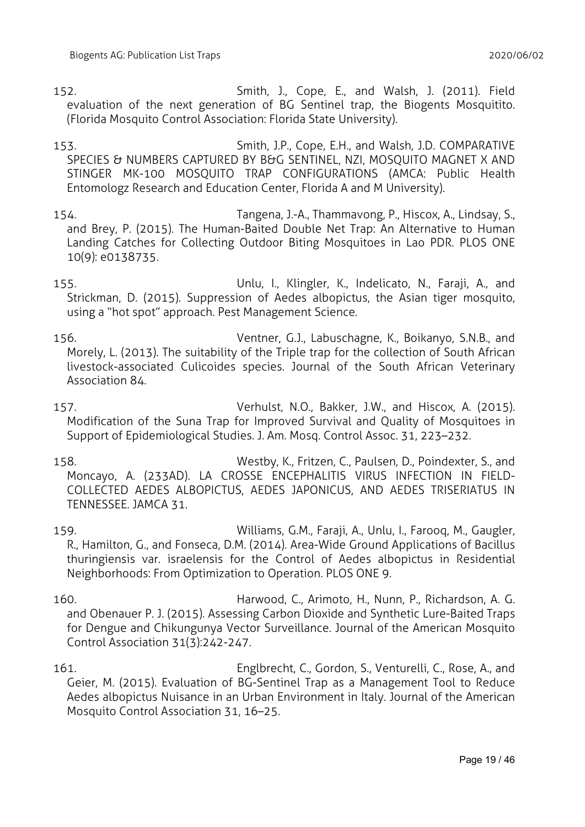152. Smith, J., Cope, E., and Walsh, J. (2011). Field evaluation of the next generation of BG Sentinel trap, the Biogents Mosquitito. (Florida Mosquito Control Association: Florida State University).

153. Smith, J.P., Cope, E.H., and Walsh, J.D. COMPARATIVE SPECIES & NUMBERS CAPTURED BY B&G SENTINEL, NZI, MOSQUITO MAGNET X AND STINGER MK-100 MOSQUITO TRAP CONFIGURATIONS (AMCA: Public Health Entomologz Research and Education Center, Florida A and M University).

- 154. Tangena, J.-A., Thammavong, P., Hiscox, A., Lindsay, S., and Brey, P. (2015). The Human-Baited Double Net Trap: An Alternative to Human Landing Catches for Collecting Outdoor Biting Mosquitoes in Lao PDR. PLOS ONE 10(9): e0138735.
- 155. Unlu, I., Klingler, K., Indelicato, N., Faraji, A., and Strickman, D. (2015). Suppression of Aedes albopictus, the Asian tiger mosquito, using a "hot spot" approach. Pest Management Science.
- 156. Ventner, G.J., Labuschagne, K., Boikanyo, S.N.B., and Morely, L. (2013). The suitability of the Triple trap for the collection of South African livestock-associated Culicoides species. Journal of the South African Veterinary Association 84.
- 157. Verhulst, N.O., Bakker, J.W., and Hiscox, A. (2015). Modification of the Suna Trap for Improved Survival and Quality of Mosquitoes in Support of Epidemiological Studies. J. Am. Mosq. Control Assoc. 31, 223–232.
- 158. Westby, K., Fritzen, C., Paulsen, D., Poindexter, S., and Moncayo, A. (233AD). LA CROSSE ENCEPHALITIS VIRUS INFECTION IN FIELD-COLLECTED AEDES ALBOPICTUS, AEDES JAPONICUS, AND AEDES TRISERIATUS IN TENNESSEE. JAMCA 31.
- 159. Williams, G.M., Faraji, A., Unlu, I., Farooq, M., Gaugler, R., Hamilton, G., and Fonseca, D.M. (2014). Area-Wide Ground Applications of Bacillus thuringiensis var. israelensis for the Control of Aedes albopictus in Residential Neighborhoods: From Optimization to Operation. PLOS ONE 9.
- 160. Harwood, C., Arimoto, H., Nunn, P., Richardson, A. G. and Obenauer P. J. (2015). Assessing Carbon Dioxide and Synthetic Lure-Baited Traps for Dengue and Chikungunya Vector Surveillance. Journal of the American Mosquito Control Association 31(3):242-247.
- 161. Englbrecht, C., Gordon, S., Venturelli, C., Rose, A., and Geier, M. (2015). Evaluation of BG-Sentinel Trap as a Management Tool to Reduce Aedes albopictus Nuisance in an Urban Environment in Italy. Journal of the American Mosquito Control Association 31, 16–25.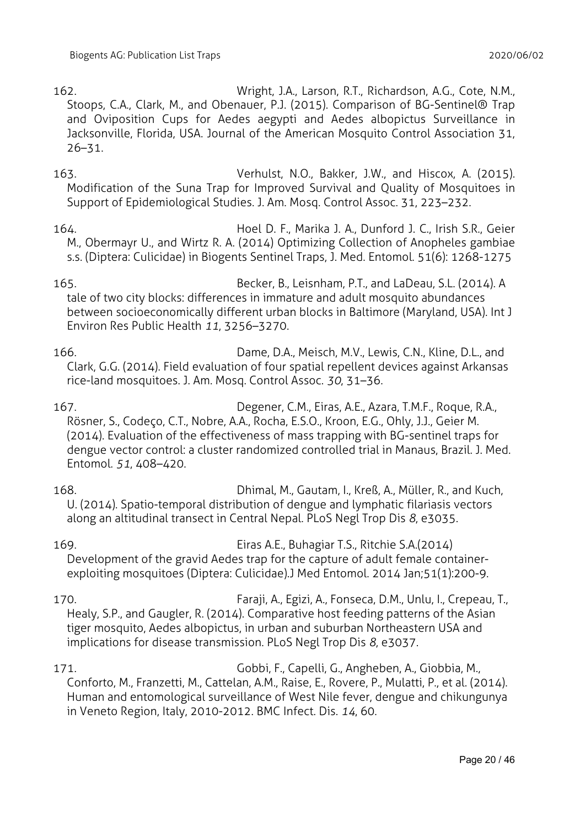162. Wright, J.A., Larson, R.T., Richardson, A.G., Cote, N.M., Stoops, C.A., Clark, M., and Obenauer, P.J. (2015). Comparison of BG-Sentinel® Trap and Oviposition Cups for Aedes aegypti and Aedes albopictus Surveillance in Jacksonville, Florida, USA. Journal of the American Mosquito Control Association 31, 26–31.

163. Verhulst, N.O., Bakker, J.W., and Hiscox, A. (2015). Modification of the Suna Trap for Improved Survival and Quality of Mosquitoes in Support of Epidemiological Studies. J. Am. Mosq. Control Assoc. 31, 223–232.

164. Hoel D. F., Marika J. A., Dunford J. C., Irish S.R., Geier M., Obermayr U., and Wirtz R. A. (2014) Optimizing Collection of Anopheles gambiae s.s. (Diptera: Culicidae) in Biogents Sentinel Traps, J. Med. Entomol. 51(6): 1268-1275

165. Becker, B., Leisnham, P.T., and LaDeau, S.L. (2014). A tale of two city blocks: differences in immature and adult mosquito abundances between socioeconomically different urban blocks in Baltimore (Maryland, USA). Int J Environ Res Public Health *11*, 3256–3270.

166. Dame, D.A., Meisch, M.V., Lewis, C.N., Kline, D.L., and Clark, G.G. (2014). Field evaluation of four spatial repellent devices against Arkansas rice-land mosquitoes. J. Am. Mosq. Control Assoc. *30*, 31–36.

167. Degener, C.M., Eiras, A.E., Azara, T.M.F., Roque, R.A., Rösner, S., Codeço, C.T., Nobre, A.A., Rocha, E.S.O., Kroon, E.G., Ohly, J.J., Geier M. (2014). Evaluation of the effectiveness of mass trapping with BG-sentinel traps for dengue vector control: a cluster randomized controlled trial in Manaus, Brazil. J. Med. Entomol. *51*, 408–420.

168. Dhimal, M., Gautam, I., Kreß, A., Müller, R., and Kuch, U. (2014). Spatio-temporal distribution of dengue and lymphatic filariasis vectors along an altitudinal transect in Central Nepal. PLoS Negl Trop Dis *8*, e3035.

169. Eiras A.E., Buhagiar T.S., Ritchie S.A.(2014) Development of the gravid Aedes trap for the capture of adult female containerexploiting mosquitoes (Diptera: Culicidae).J Med Entomol. 2014 Jan;51(1):200-9.

170. Faraji, A., Egizi, A., Fonseca, D.M., Unlu, I., Crepeau, T., Healy, S.P., and Gaugler, R. (2014). Comparative host feeding patterns of the Asian tiger mosquito, Aedes albopictus, in urban and suburban Northeastern USA and implications for disease transmission. PLoS Negl Trop Dis *8*, e3037.

171. Gobbi, F., Capelli, G., Angheben, A., Giobbia, M., Conforto, M., Franzetti, M., Cattelan, A.M., Raise, E., Rovere, P., Mulatti, P., et al. (2014). Human and entomological surveillance of West Nile fever, dengue and chikungunya in Veneto Region, Italy, 2010-2012. BMC Infect. Dis. *14*, 60.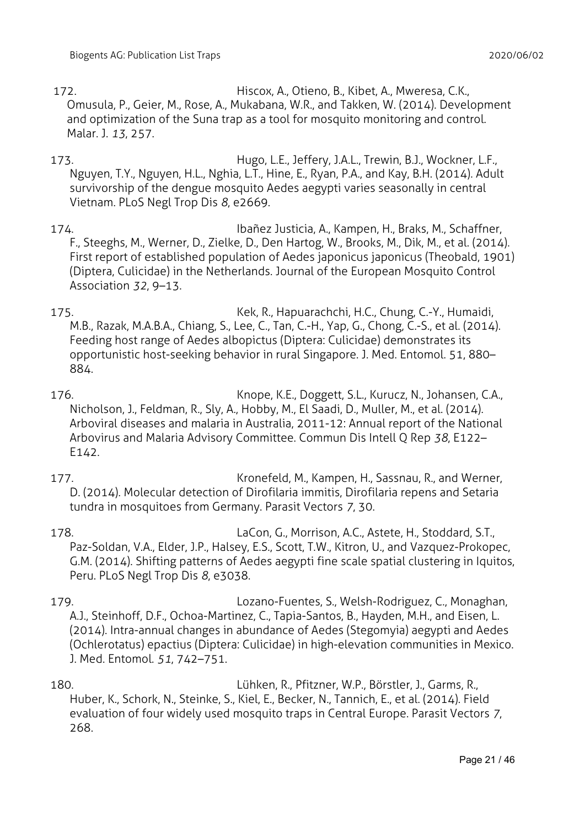172. Hiscox, A., Otieno, B., Kibet, A., Mweresa, C.K., Omusula, P., Geier, M., Rose, A., Mukabana, W.R., and Takken, W. (2014). Development and optimization of the Suna trap as a tool for mosquito monitoring and control. Malar. J. *13*, 257.

173. Hugo, L.E., Jeffery, J.A.L., Trewin, B.J., Wockner, L.F., Nguyen, T.Y., Nguyen, H.L., Nghia, L.T., Hine, E., Ryan, P.A., and Kay, B.H. (2014). Adult survivorship of the dengue mosquito Aedes aegypti varies seasonally in central Vietnam. PLoS Negl Trop Dis *8*, e2669.

174. Ibañez Justicia, A., Kampen, H., Braks, M., Schaffner, F., Steeghs, M., Werner, D., Zielke, D., Den Hartog, W., Brooks, M., Dik, M., et al. (2014). First report of established population of Aedes japonicus japonicus (Theobald, 1901) (Diptera, Culicidae) in the Netherlands. Journal of the European Mosquito Control Association *32*, 9–13.

- 175. Kek, R., Hapuarachchi, H.C., Chung, C.-Y., Humaidi, M.B., Razak, M.A.B.A., Chiang, S., Lee, C., Tan, C.-H., Yap, G., Chong, C.-S., et al. (2014). Feeding host range of Aedes albopictus (Diptera: Culicidae) demonstrates its opportunistic host-seeking behavior in rural Singapore. J. Med. Entomol. 51, 880– 884.
- 176. Knope, K.E., Doggett, S.L., Kurucz, N., Johansen, C.A., Nicholson, J., Feldman, R., Sly, A., Hobby, M., El Saadi, D., Muller, M., et al. (2014). Arboviral diseases and malaria in Australia, 2011-12: Annual report of the National Arbovirus and Malaria Advisory Committee. Commun Dis Intell Q Rep *38*, E122– E142.

177. Sampen, H., Sassnau, R., and Werner, Kronefeld, M., Kampen, H., Sassnau, R., and Werner, D. (2014). Molecular detection of Dirofilaria immitis, Dirofilaria repens and Setaria tundra in mosquitoes from Germany. Parasit Vectors *7*, 30.

178. LaCon, G., Morrison, A.C., Astete, H., Stoddard, S.T., Paz-Soldan, V.A., Elder, J.P., Halsey, E.S., Scott, T.W., Kitron, U., and Vazquez-Prokopec, G.M. (2014). Shifting patterns of Aedes aegypti fine scale spatial clustering in Iquitos, Peru. PLoS Negl Trop Dis *8*, e3038.

179. Lozano-Fuentes, S., Welsh-Rodriguez, C., Monaghan, A.J., Steinhoff, D.F., Ochoa-Martinez, C., Tapia-Santos, B., Hayden, M.H., and Eisen, L. (2014). Intra-annual changes in abundance of Aedes (Stegomyia) aegypti and Aedes (Ochlerotatus) epactius (Diptera: Culicidae) in high-elevation communities in Mexico. J. Med. Entomol. *51*, 742–751.

180. Lühken, R., Pfitzner, W.P., Börstler, J., Garms, R., Huber, K., Schork, N., Steinke, S., Kiel, E., Becker, N., Tannich, E., et al. (2014). Field evaluation of four widely used mosquito traps in Central Europe. Parasit Vectors *7*, 268.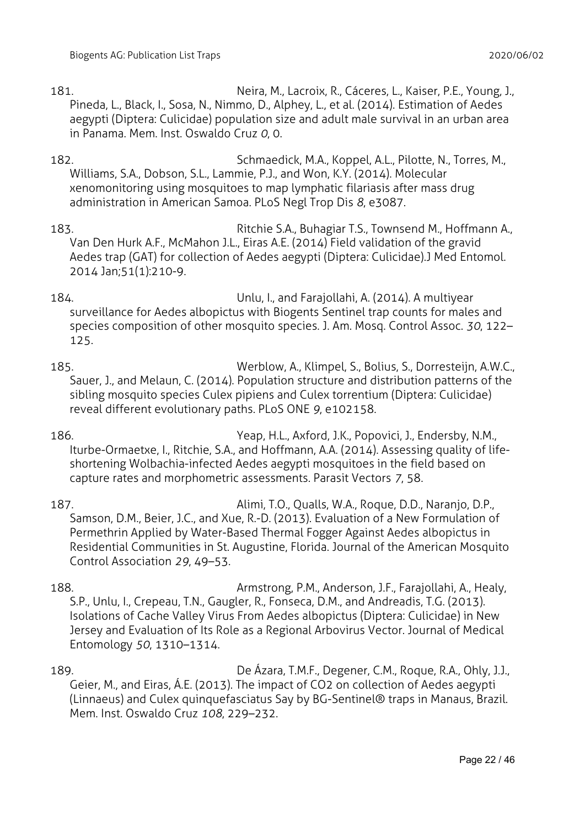181. Neira, M., Lacroix, R., Cáceres, L., Kaiser, P.E., Young, J., Pineda, L., Black, I., Sosa, N., Nimmo, D., Alphey, L., et al. (2014). Estimation of Aedes aegypti (Diptera: Culicidae) population size and adult male survival in an urban area in Panama. Mem. Inst. Oswaldo Cruz *0*, 0.

182. Schmaedick, M.A., Koppel, A.L., Pilotte, N., Torres, M., Williams, S.A., Dobson, S.L., Lammie, P.J., and Won, K.Y. (2014). Molecular xenomonitoring using mosquitoes to map lymphatic filariasis after mass drug administration in American Samoa. PLoS Negl Trop Dis *8*, e3087.

183. Ritchie S.A., Buhagiar T.S., Townsend M., Hoffmann A., Van Den Hurk A.F., McMahon J.L., Eiras A.E. (2014) Field validation of the gravid Aedes trap (GAT) for collection of Aedes aegypti (Diptera: Culicidae).J Med Entomol. 2014 Jan;51(1):210-9.

184. Unlu, I., and Farajollahi, A. (2014). A multiyear surveillance for Aedes albopictus with Biogents Sentinel trap counts for males and species composition of other mosquito species. J. Am. Mosq. Control Assoc. *30*, 122– 125.

185. Werblow, A., Klimpel, S., Bolius, S., Dorresteijn, A.W.C., Sauer, J., and Melaun, C. (2014). Population structure and distribution patterns of the sibling mosquito species Culex pipiens and Culex torrentium (Diptera: Culicidae) reveal different evolutionary paths. PLoS ONE *9*, e102158.

186. Yeap, H.L., Axford, J.K., Popovici, J., Endersby, N.M., Iturbe-Ormaetxe, I., Ritchie, S.A., and Hoffmann, A.A. (2014). Assessing quality of lifeshortening Wolbachia-infected Aedes aegypti mosquitoes in the field based on capture rates and morphometric assessments. Parasit Vectors *7*, 58.

187. Alimi, T.O., Qualls, W.A., Roque, D.D., Naranjo, D.P., Samson, D.M., Beier, J.C., and Xue, R.-D. (2013). Evaluation of a New Formulation of Permethrin Applied by Water-Based Thermal Fogger Against Aedes albopictus in Residential Communities in St. Augustine, Florida. Journal of the American Mosquito Control Association *29*, 49–53.

188. Armstrong, P.M., Anderson, J.F., Farajollahi, A., Healy, S.P., Unlu, I., Crepeau, T.N., Gaugler, R., Fonseca, D.M., and Andreadis, T.G. (2013). Isolations of Cache Valley Virus From Aedes albopictus (Diptera: Culicidae) in New Jersey and Evaluation of Its Role as a Regional Arbovirus Vector. Journal of Medical Entomology *50*, 1310–1314.

189. De Ázara, T.M.F., Degener, C.M., Roque, R.A., Ohly, J.J., Geier, M., and Eiras, Á.E. (2013). The impact of CO2 on collection of Aedes aegypti (Linnaeus) and Culex quinquefasciatus Say by BG-Sentinel® traps in Manaus, Brazil. Mem. Inst. Oswaldo Cruz *108*, 229–232.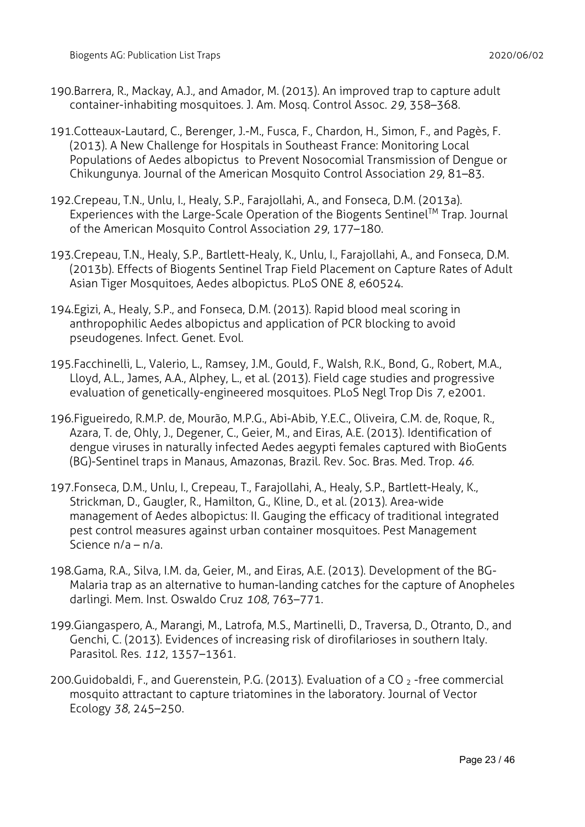- 190.Barrera, R., Mackay, A.J., and Amador, M. (2013). An improved trap to capture adult container-inhabiting mosquitoes. J. Am. Mosq. Control Assoc. *29*, 358–368.
- 191.Cotteaux-Lautard, C., Berenger, J.-M., Fusca, F., Chardon, H., Simon, F., and Pagès, F. (2013). A New Challenge for Hospitals in Southeast France: Monitoring Local Populations of Aedes albopictus to Prevent Nosocomial Transmission of Dengue or Chikungunya. Journal of the American Mosquito Control Association *29*, 81–83.
- 192.Crepeau, T.N., Unlu, I., Healy, S.P., Farajollahi, A., and Fonseca, D.M. (2013a). Experiences with the Large-Scale Operation of the Biogents Sentinel™ Trap. Journal of the American Mosquito Control Association *29*, 177–180.
- 193.Crepeau, T.N., Healy, S.P., Bartlett-Healy, K., Unlu, I., Farajollahi, A., and Fonseca, D.M. (2013b). Effects of Biogents Sentinel Trap Field Placement on Capture Rates of Adult Asian Tiger Mosquitoes, Aedes albopictus. PLoS ONE *8*, e60524.
- 194.Egizi, A., Healy, S.P., and Fonseca, D.M. (2013). Rapid blood meal scoring in anthropophilic Aedes albopictus and application of PCR blocking to avoid pseudogenes. Infect. Genet. Evol.
- 195.Facchinelli, L., Valerio, L., Ramsey, J.M., Gould, F., Walsh, R.K., Bond, G., Robert, M.A., Lloyd, A.L., James, A.A., Alphey, L., et al. (2013). Field cage studies and progressive evaluation of genetically-engineered mosquitoes. PLoS Negl Trop Dis *7*, e2001.
- 196.Figueiredo, R.M.P. de, Mourão, M.P.G., Abi-Abib, Y.E.C., Oliveira, C.M. de, Roque, R., Azara, T. de, Ohly, J., Degener, C., Geier, M., and Eiras, A.E. (2013). Identification of dengue viruses in naturally infected Aedes aegypti females captured with BioGents (BG)-Sentinel traps in Manaus, Amazonas, Brazil. Rev. Soc. Bras. Med. Trop. *46*.
- 197.Fonseca, D.M., Unlu, I., Crepeau, T., Farajollahi, A., Healy, S.P., Bartlett-Healy, K., Strickman, D., Gaugler, R., Hamilton, G., Kline, D., et al. (2013). Area-wide management of Aedes albopictus: II. Gauging the efficacy of traditional integrated pest control measures against urban container mosquitoes. Pest Management Science n/a – n/a.
- 198.Gama, R.A., Silva, I.M. da, Geier, M., and Eiras, A.E. (2013). Development of the BG-Malaria trap as an alternative to human-landing catches for the capture of Anopheles darlingi. Mem. Inst. Oswaldo Cruz *108*, 763–771.
- 199.Giangaspero, A., Marangi, M., Latrofa, M.S., Martinelli, D., Traversa, D., Otranto, D., and Genchi, C. (2013). Evidences of increasing risk of dirofilarioses in southern Italy. Parasitol. Res. *112*, 1357–1361.
- 200.Guidobaldi, F., and Guerenstein, P.G. (2013). Evaluation of a CO  $_2$  -free commercial mosquito attractant to capture triatomines in the laboratory. Journal of Vector Ecology *38*, 245–250.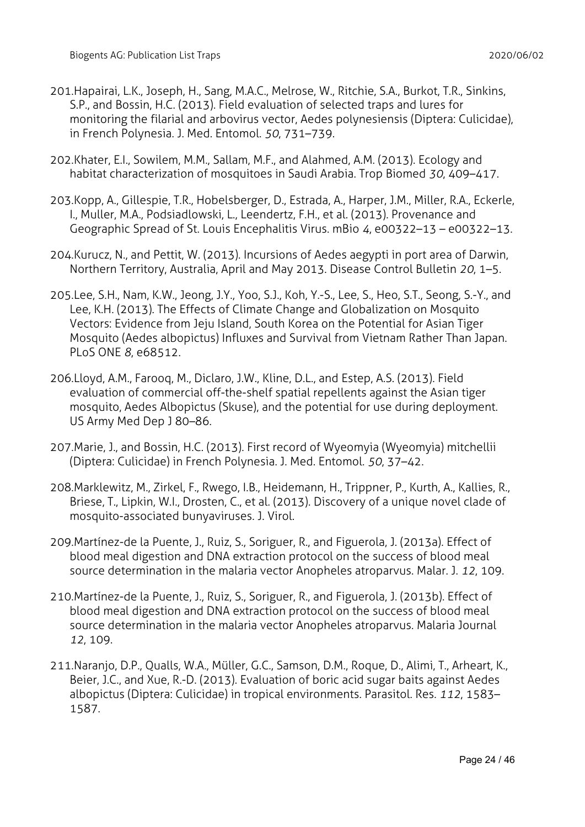- 201.Hapairai, L.K., Joseph, H., Sang, M.A.C., Melrose, W., Ritchie, S.A., Burkot, T.R., Sinkins, S.P., and Bossin, H.C. (2013). Field evaluation of selected traps and lures for monitoring the filarial and arbovirus vector, Aedes polynesiensis (Diptera: Culicidae), in French Polynesia. J. Med. Entomol. *50*, 731–739.
- 202.Khater, E.I., Sowilem, M.M., Sallam, M.F., and Alahmed, A.M. (2013). Ecology and habitat characterization of mosquitoes in Saudi Arabia. Trop Biomed *30*, 409–417.
- 203.Kopp, A., Gillespie, T.R., Hobelsberger, D., Estrada, A., Harper, J.M., Miller, R.A., Eckerle, I., Muller, M.A., Podsiadlowski, L., Leendertz, F.H., et al. (2013). Provenance and Geographic Spread of St. Louis Encephalitis Virus. mBio *4*, e00322–13 – e00322–13.
- 204.Kurucz, N., and Pettit, W. (2013). Incursions of Aedes aegypti in port area of Darwin, Northern Territory, Australia, April and May 2013. Disease Control Bulletin *20*, 1–5.
- 205.Lee, S.H., Nam, K.W., Jeong, J.Y., Yoo, S.J., Koh, Y.-S., Lee, S., Heo, S.T., Seong, S.-Y., and Lee, K.H. (2013). The Effects of Climate Change and Globalization on Mosquito Vectors: Evidence from Jeju Island, South Korea on the Potential for Asian Tiger Mosquito (Aedes albopictus) Influxes and Survival from Vietnam Rather Than Japan. PLoS ONE *8*, e68512.
- 206.Lloyd, A.M., Farooq, M., Diclaro, J.W., Kline, D.L., and Estep, A.S. (2013). Field evaluation of commercial off-the-shelf spatial repellents against the Asian tiger mosquito, Aedes Albopictus (Skuse), and the potential for use during deployment. US Army Med Dep J 80–86.
- 207.Marie, J., and Bossin, H.C. (2013). First record of Wyeomyia (Wyeomyia) mitchellii (Diptera: Culicidae) in French Polynesia. J. Med. Entomol. *50*, 37–42.
- 208.Marklewitz, M., Zirkel, F., Rwego, I.B., Heidemann, H., Trippner, P., Kurth, A., Kallies, R., Briese, T., Lipkin, W.I., Drosten, C., et al. (2013). Discovery of a unique novel clade of mosquito-associated bunyaviruses. J. Virol.
- 209.Martínez-de la Puente, J., Ruiz, S., Soriguer, R., and Figuerola, J. (2013a). Effect of blood meal digestion and DNA extraction protocol on the success of blood meal source determination in the malaria vector Anopheles atroparvus. Malar. J. *12*, 109.
- 210.Martínez-de la Puente, J., Ruiz, S., Soriguer, R., and Figuerola, J. (2013b). Effect of blood meal digestion and DNA extraction protocol on the success of blood meal source determination in the malaria vector Anopheles atroparvus. Malaria Journal *12*, 109.
- 211.Naranjo, D.P., Qualls, W.A., Müller, G.C., Samson, D.M., Roque, D., Alimi, T., Arheart, K., Beier, J.C., and Xue, R.-D. (2013). Evaluation of boric acid sugar baits against Aedes albopictus (Diptera: Culicidae) in tropical environments. Parasitol. Res. *112*, 1583– 1587.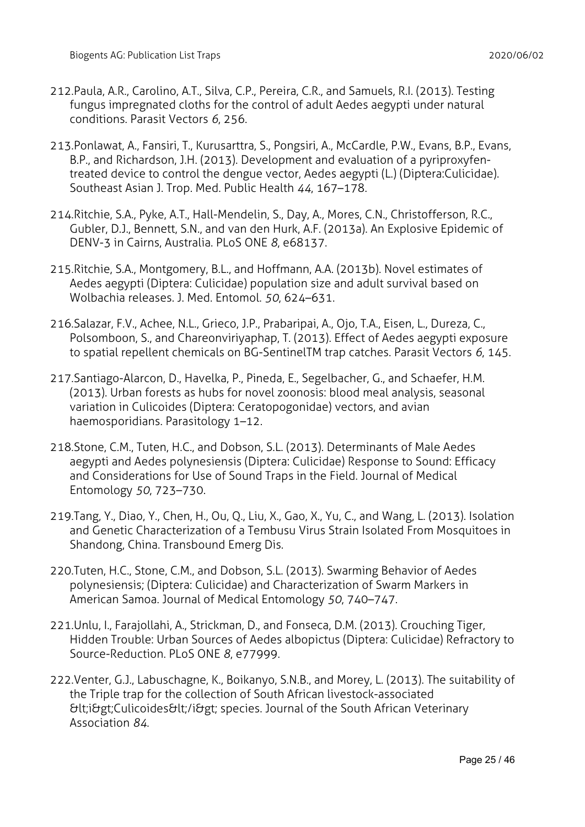- 212.Paula, A.R., Carolino, A.T., Silva, C.P., Pereira, C.R., and Samuels, R.I. (2013). Testing fungus impregnated cloths for the control of adult Aedes aegypti under natural conditions. Parasit Vectors *6*, 256.
- 213.Ponlawat, A., Fansiri, T., Kurusarttra, S., Pongsiri, A., McCardle, P.W., Evans, B.P., Evans, B.P., and Richardson, J.H. (2013). Development and evaluation of a pyriproxyfentreated device to control the dengue vector, Aedes aegypti (L.) (Diptera:Culicidae). Southeast Asian J. Trop. Med. Public Health *44*, 167–178.
- 214.Ritchie, S.A., Pyke, A.T., Hall-Mendelin, S., Day, A., Mores, C.N., Christofferson, R.C., Gubler, D.J., Bennett, S.N., and van den Hurk, A.F. (2013a). An Explosive Epidemic of DENV-3 in Cairns, Australia. PLoS ONE *8*, e68137.
- 215.Ritchie, S.A., Montgomery, B.L., and Hoffmann, A.A. (2013b). Novel estimates of Aedes aegypti (Diptera: Culicidae) population size and adult survival based on Wolbachia releases. J. Med. Entomol. *50*, 624–631.
- 216.Salazar, F.V., Achee, N.L., Grieco, J.P., Prabaripai, A., Ojo, T.A., Eisen, L., Dureza, C., Polsomboon, S., and Chareonviriyaphap, T. (2013). Effect of Aedes aegypti exposure to spatial repellent chemicals on BG-SentinelTM trap catches. Parasit Vectors *6*, 145.
- 217.Santiago-Alarcon, D., Havelka, P., Pineda, E., Segelbacher, G., and Schaefer, H.M. (2013). Urban forests as hubs for novel zoonosis: blood meal analysis, seasonal variation in Culicoides (Diptera: Ceratopogonidae) vectors, and avian haemosporidians. Parasitology 1–12.
- 218.Stone, C.M., Tuten, H.C., and Dobson, S.L. (2013). Determinants of Male Aedes aegypti and Aedes polynesiensis (Diptera: Culicidae) Response to Sound: Efficacy and Considerations for Use of Sound Traps in the Field. Journal of Medical Entomology *50*, 723–730.
- 219.Tang, Y., Diao, Y., Chen, H., Ou, Q., Liu, X., Gao, X., Yu, C., and Wang, L. (2013). Isolation and Genetic Characterization of a Tembusu Virus Strain Isolated From Mosquitoes in Shandong, China. Transbound Emerg Dis.
- 220.Tuten, H.C., Stone, C.M., and Dobson, S.L. (2013). Swarming Behavior of Aedes polynesiensis; (Diptera: Culicidae) and Characterization of Swarm Markers in American Samoa. Journal of Medical Entomology *50*, 740–747.
- 221.Unlu, I., Farajollahi, A., Strickman, D., and Fonseca, D.M. (2013). Crouching Tiger, Hidden Trouble: Urban Sources of Aedes albopictus (Diptera: Culicidae) Refractory to Source-Reduction. PLoS ONE *8*, e77999.
- 222.Venter, G.J., Labuschagne, K., Boikanyo, S.N.B., and Morey, L. (2013). The suitability of the Triple trap for the collection of South African livestock-associated <i>Culicoides</i> species. Journal of the South African Veterinary Association *84*.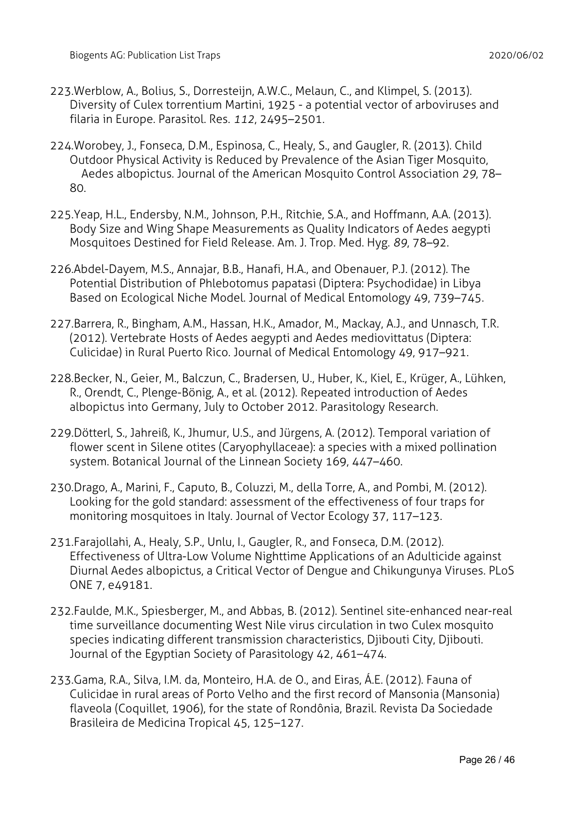- 223.Werblow, A., Bolius, S., Dorresteijn, A.W.C., Melaun, C., and Klimpel, S. (2013). Diversity of Culex torrentium Martini, 1925 - a potential vector of arboviruses and filaria in Europe. Parasitol. Res. *112*, 2495–2501.
- 224.Worobey, J., Fonseca, D.M., Espinosa, C., Healy, S., and Gaugler, R. (2013). Child Outdoor Physical Activity is Reduced by Prevalence of the Asian Tiger Mosquito, Aedes albopictus. Journal of the American Mosquito Control Association *29*, 78– 80.
- 225.Yeap, H.L., Endersby, N.M., Johnson, P.H., Ritchie, S.A., and Hoffmann, A.A. (2013). Body Size and Wing Shape Measurements as Quality Indicators of Aedes aegypti Mosquitoes Destined for Field Release. Am. J. Trop. Med. Hyg. *89*, 78–92.
- 226.Abdel-Dayem, M.S., Annajar, B.B., Hanafi, H.A., and Obenauer, P.J. (2012). The Potential Distribution of Phlebotomus papatasi (Diptera: Psychodidae) in Libya Based on Ecological Niche Model. Journal of Medical Entomology 49, 739–745.
- 227.Barrera, R., Bingham, A.M., Hassan, H.K., Amador, M., Mackay, A.J., and Unnasch, T.R. (2012). Vertebrate Hosts of Aedes aegypti and Aedes mediovittatus (Diptera: Culicidae) in Rural Puerto Rico. Journal of Medical Entomology 49, 917–921.
- 228.Becker, N., Geier, M., Balczun, C., Bradersen, U., Huber, K., Kiel, E., Krüger, A., Lühken, R., Orendt, C., Plenge-Bönig, A., et al. (2012). Repeated introduction of Aedes albopictus into Germany, July to October 2012. Parasitology Research.
- 229.Dötterl, S., Jahreiß, K., Jhumur, U.S., and Jürgens, A. (2012). Temporal variation of flower scent in Silene otites (Caryophyllaceae): a species with a mixed pollination system. Botanical Journal of the Linnean Society 169, 447–460.
- 230.Drago, A., Marini, F., Caputo, B., Coluzzi, M., della Torre, A., and Pombi, M. (2012). Looking for the gold standard: assessment of the effectiveness of four traps for monitoring mosquitoes in Italy. Journal of Vector Ecology 37, 117–123.
- 231.Farajollahi, A., Healy, S.P., Unlu, I., Gaugler, R., and Fonseca, D.M. (2012). Effectiveness of Ultra-Low Volume Nighttime Applications of an Adulticide against Diurnal Aedes albopictus, a Critical Vector of Dengue and Chikungunya Viruses. PLoS ONE 7, e49181.
- 232.Faulde, M.K., Spiesberger, M., and Abbas, B. (2012). Sentinel site-enhanced near-real time surveillance documenting West Nile virus circulation in two Culex mosquito species indicating different transmission characteristics, Djibouti City, Djibouti. Journal of the Egyptian Society of Parasitology 42, 461–474.
- 233.Gama, R.A., Silva, I.M. da, Monteiro, H.A. de O., and Eiras, Á.E. (2012). Fauna of Culicidae in rural areas of Porto Velho and the first record of Mansonia (Mansonia) flaveola (Coquillet, 1906), for the state of Rondônia, Brazil. Revista Da Sociedade Brasileira de Medicina Tropical 45, 125–127.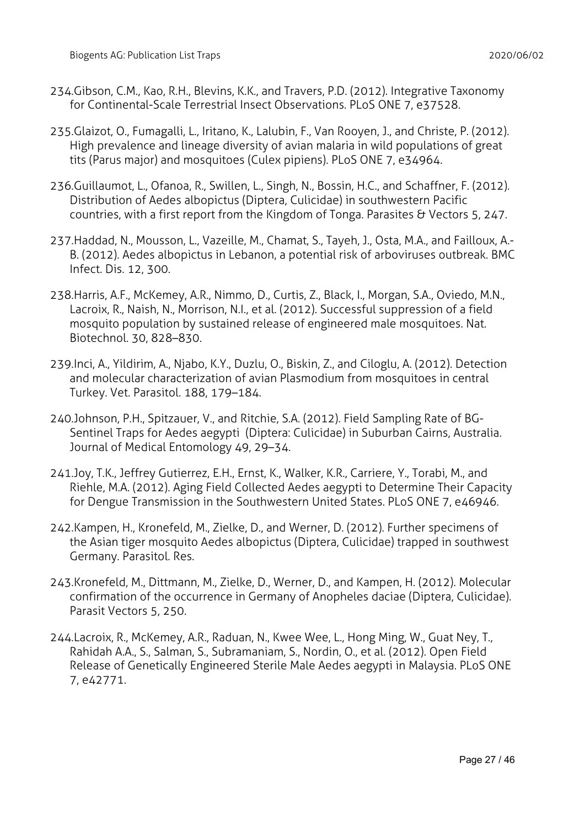- 234.Gibson, C.M., Kao, R.H., Blevins, K.K., and Travers, P.D. (2012). Integrative Taxonomy for Continental-Scale Terrestrial Insect Observations. PLoS ONE 7, e37528.
- 235.Glaizot, O., Fumagalli, L., Iritano, K., Lalubin, F., Van Rooyen, J., and Christe, P. (2012). High prevalence and lineage diversity of avian malaria in wild populations of great tits (Parus major) and mosquitoes (Culex pipiens). PLoS ONE 7, e34964.
- 236.Guillaumot, L., Ofanoa, R., Swillen, L., Singh, N., Bossin, H.C., and Schaffner, F. (2012). Distribution of Aedes albopictus (Diptera, Culicidae) in southwestern Pacific countries, with a first report from the Kingdom of Tonga. Parasites & Vectors 5, 247.
- 237.Haddad, N., Mousson, L., Vazeille, M., Chamat, S., Tayeh, J., Osta, M.A., and Failloux, A.- B. (2012). Aedes albopictus in Lebanon, a potential risk of arboviruses outbreak. BMC Infect. Dis. 12, 300.
- 238.Harris, A.F., McKemey, A.R., Nimmo, D., Curtis, Z., Black, I., Morgan, S.A., Oviedo, M.N., Lacroix, R., Naish, N., Morrison, N.I., et al. (2012). Successful suppression of a field mosquito population by sustained release of engineered male mosquitoes. Nat. Biotechnol. 30, 828–830.
- 239.Inci, A., Yildirim, A., Njabo, K.Y., Duzlu, O., Biskin, Z., and Ciloglu, A. (2012). Detection and molecular characterization of avian Plasmodium from mosquitoes in central Turkey. Vet. Parasitol. 188, 179–184.
- 240.Johnson, P.H., Spitzauer, V., and Ritchie, S.A. (2012). Field Sampling Rate of BG-Sentinel Traps for Aedes aegypti (Diptera: Culicidae) in Suburban Cairns, Australia. Journal of Medical Entomology 49, 29–34.
- 241.Joy, T.K., Jeffrey Gutierrez, E.H., Ernst, K., Walker, K.R., Carriere, Y., Torabi, M., and Riehle, M.A. (2012). Aging Field Collected Aedes aegypti to Determine Their Capacity for Dengue Transmission in the Southwestern United States. PLoS ONE 7, e46946.
- 242.Kampen, H., Kronefeld, M., Zielke, D., and Werner, D. (2012). Further specimens of the Asian tiger mosquito Aedes albopictus (Diptera, Culicidae) trapped in southwest Germany. Parasitol. Res.
- 243.Kronefeld, M., Dittmann, M., Zielke, D., Werner, D., and Kampen, H. (2012). Molecular confirmation of the occurrence in Germany of Anopheles daciae (Diptera, Culicidae). Parasit Vectors 5, 250.
- 244.Lacroix, R., McKemey, A.R., Raduan, N., Kwee Wee, L., Hong Ming, W., Guat Ney, T., Rahidah A.A., S., Salman, S., Subramaniam, S., Nordin, O., et al. (2012). Open Field Release of Genetically Engineered Sterile Male Aedes aegypti in Malaysia. PLoS ONE 7, e42771.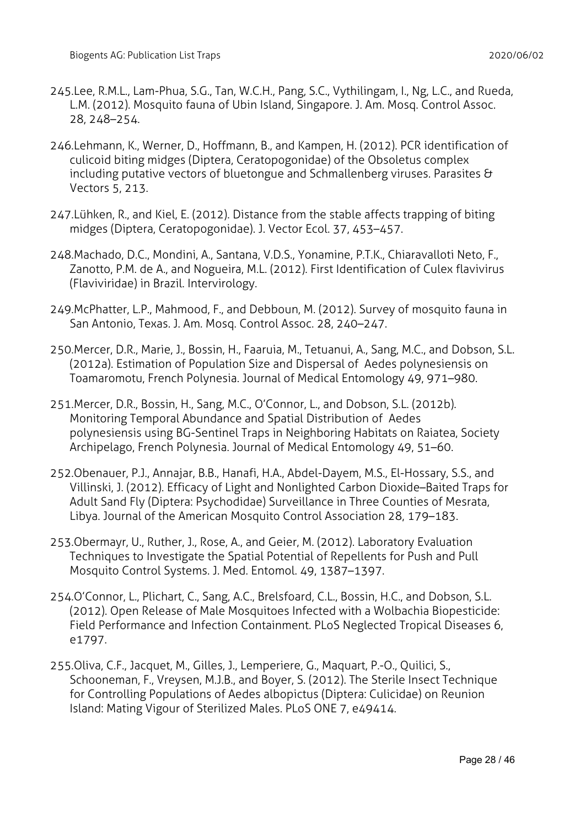- 245.Lee, R.M.L., Lam-Phua, S.G., Tan, W.C.H., Pang, S.C., Vythilingam, I., Ng, L.C., and Rueda, L.M. (2012). Mosquito fauna of Ubin Island, Singapore. J. Am. Mosq. Control Assoc. 28, 248–254.
- 246.Lehmann, K., Werner, D., Hoffmann, B., and Kampen, H. (2012). PCR identification of culicoid biting midges (Diptera, Ceratopogonidae) of the Obsoletus complex including putative vectors of bluetongue and Schmallenberg viruses. Parasites & Vectors 5, 213.
- 247.Lühken, R., and Kiel, E. (2012). Distance from the stable affects trapping of biting midges (Diptera, Ceratopogonidae). J. Vector Ecol. 37, 453–457.
- 248.Machado, D.C., Mondini, A., Santana, V.D.S., Yonamine, P.T.K., Chiaravalloti Neto, F., Zanotto, P.M. de A., and Nogueira, M.L. (2012). First Identification of Culex flavivirus (Flaviviridae) in Brazil. Intervirology.
- 249.McPhatter, L.P., Mahmood, F., and Debboun, M. (2012). Survey of mosquito fauna in San Antonio, Texas. J. Am. Mosq. Control Assoc. 28, 240–247.
- 250.Mercer, D.R., Marie, J., Bossin, H., Faaruia, M., Tetuanui, A., Sang, M.C., and Dobson, S.L. (2012a). Estimation of Population Size and Dispersal of Aedes polynesiensis on Toamaromotu, French Polynesia. Journal of Medical Entomology 49, 971–980.
- 251.Mercer, D.R., Bossin, H., Sang, M.C., O'Connor, L., and Dobson, S.L. (2012b). Monitoring Temporal Abundance and Spatial Distribution of Aedes polynesiensis using BG-Sentinel Traps in Neighboring Habitats on Raiatea, Society Archipelago, French Polynesia. Journal of Medical Entomology 49, 51–60.
- 252.Obenauer, P.J., Annajar, B.B., Hanafi, H.A., Abdel-Dayem, M.S., El-Hossary, S.S., and Villinski, J. (2012). Efficacy of Light and Nonlighted Carbon Dioxide–Baited Traps for Adult Sand Fly (Diptera: Psychodidae) Surveillance in Three Counties of Mesrata, Libya. Journal of the American Mosquito Control Association 28, 179–183.
- 253.Obermayr, U., Ruther, J., Rose, A., and Geier, M. (2012). Laboratory Evaluation Techniques to Investigate the Spatial Potential of Repellents for Push and Pull Mosquito Control Systems. J. Med. Entomol. 49, 1387–1397.
- 254.O'Connor, L., Plichart, C., Sang, A.C., Brelsfoard, C.L., Bossin, H.C., and Dobson, S.L. (2012). Open Release of Male Mosquitoes Infected with a Wolbachia Biopesticide: Field Performance and Infection Containment. PLoS Neglected Tropical Diseases 6, e1797.
- 255.Oliva, C.F., Jacquet, M., Gilles, J., Lemperiere, G., Maquart, P.-O., Quilici, S., Schooneman, F., Vreysen, M.J.B., and Boyer, S. (2012). The Sterile Insect Technique for Controlling Populations of Aedes albopictus (Diptera: Culicidae) on Reunion Island: Mating Vigour of Sterilized Males. PLoS ONE 7, e49414.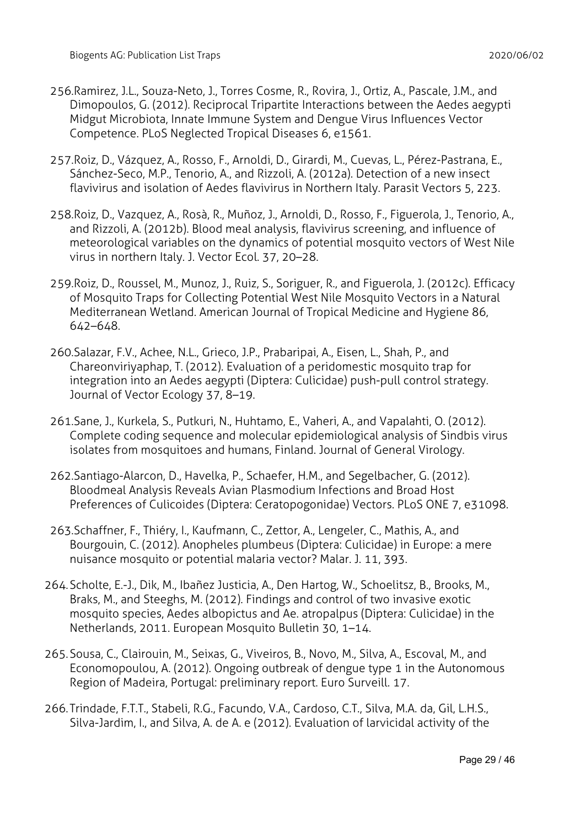- 256.Ramirez, J.L., Souza-Neto, J., Torres Cosme, R., Rovira, J., Ortiz, A., Pascale, J.M., and Dimopoulos, G. (2012). Reciprocal Tripartite Interactions between the Aedes aegypti Midgut Microbiota, Innate Immune System and Dengue Virus Influences Vector Competence. PLoS Neglected Tropical Diseases 6, e1561.
- 257.Roiz, D., Vázquez, A., Rosso, F., Arnoldi, D., Girardi, M., Cuevas, L., Pérez-Pastrana, E., Sánchez-Seco, M.P., Tenorio, A., and Rizzoli, A. (2012a). Detection of a new insect flavivirus and isolation of Aedes flavivirus in Northern Italy. Parasit Vectors 5, 223.
- 258.Roiz, D., Vazquez, A., Rosà, R., Muñoz, J., Arnoldi, D., Rosso, F., Figuerola, J., Tenorio, A., and Rizzoli, A. (2012b). Blood meal analysis, flavivirus screening, and influence of meteorological variables on the dynamics of potential mosquito vectors of West Nile virus in northern Italy. J. Vector Ecol. 37, 20–28.
- 259.Roiz, D., Roussel, M., Munoz, J., Ruiz, S., Soriguer, R., and Figuerola, J. (2012c). Efficacy of Mosquito Traps for Collecting Potential West Nile Mosquito Vectors in a Natural Mediterranean Wetland. American Journal of Tropical Medicine and Hygiene 86, 642–648.
- 260.Salazar, F.V., Achee, N.L., Grieco, J.P., Prabaripai, A., Eisen, L., Shah, P., and Chareonviriyaphap, T. (2012). Evaluation of a peridomestic mosquito trap for integration into an Aedes aegypti (Diptera: Culicidae) push-pull control strategy. Journal of Vector Ecology 37, 8–19.
- 261.Sane, J., Kurkela, S., Putkuri, N., Huhtamo, E., Vaheri, A., and Vapalahti, O. (2012). Complete coding sequence and molecular epidemiological analysis of Sindbis virus isolates from mosquitoes and humans, Finland. Journal of General Virology.
- 262.Santiago-Alarcon, D., Havelka, P., Schaefer, H.M., and Segelbacher, G. (2012). Bloodmeal Analysis Reveals Avian Plasmodium Infections and Broad Host Preferences of Culicoides (Diptera: Ceratopogonidae) Vectors. PLoS ONE 7, e31098.
- 263.Schaffner, F., Thiéry, I., Kaufmann, C., Zettor, A., Lengeler, C., Mathis, A., and Bourgouin, C. (2012). Anopheles plumbeus (Diptera: Culicidae) in Europe: a mere nuisance mosquito or potential malaria vector? Malar. J. 11, 393.
- 264.Scholte, E.-J., Dik, M., Ibañez Justicia, A., Den Hartog, W., Schoelitsz, B., Brooks, M., Braks, M., and Steeghs, M. (2012). Findings and control of two invasive exotic mosquito species, Aedes albopictus and Ae. atropalpus (Diptera: Culicidae) in the Netherlands, 2011. European Mosquito Bulletin 30, 1–14.
- 265.Sousa, C., Clairouin, M., Seixas, G., Viveiros, B., Novo, M., Silva, A., Escoval, M., and Economopoulou, A. (2012). Ongoing outbreak of dengue type 1 in the Autonomous Region of Madeira, Portugal: preliminary report. Euro Surveill. 17.
- 266.Trindade, F.T.T., Stabeli, R.G., Facundo, V.A., Cardoso, C.T., Silva, M.A. da, Gil, L.H.S., Silva-Jardim, I., and Silva, A. de A. e (2012). Evaluation of larvicidal activity of the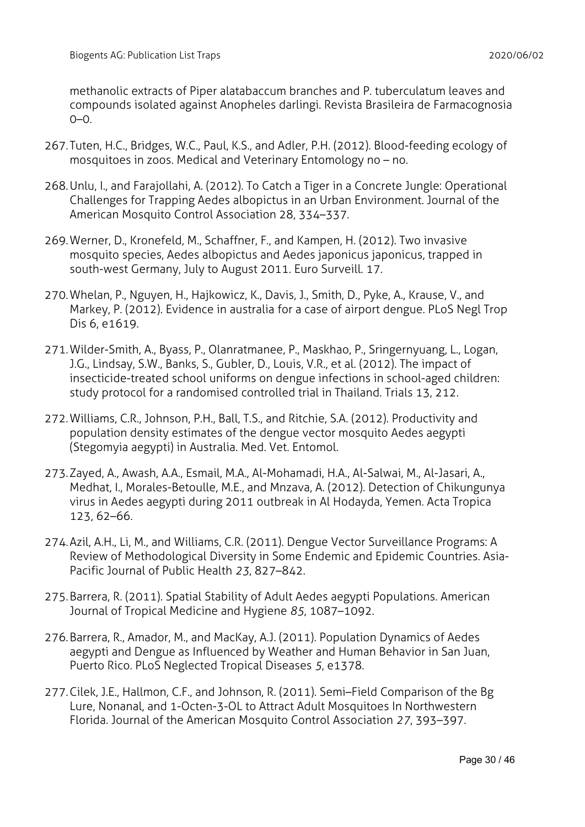methanolic extracts of Piper alatabaccum branches and P. tuberculatum leaves and compounds isolated against Anopheles darlingi. Revista Brasileira de Farmacognosia 0–0.

- 267.Tuten, H.C., Bridges, W.C., Paul, K.S., and Adler, P.H. (2012). Blood-feeding ecology of mosquitoes in zoos. Medical and Veterinary Entomology no – no.
- 268.Unlu, I., and Farajollahi, A. (2012). To Catch a Tiger in a Concrete Jungle: Operational Challenges for Trapping Aedes albopictus in an Urban Environment. Journal of the American Mosquito Control Association 28, 334–337.
- 269.Werner, D., Kronefeld, M., Schaffner, F., and Kampen, H. (2012). Two invasive mosquito species, Aedes albopictus and Aedes japonicus japonicus, trapped in south-west Germany, July to August 2011. Euro Surveill. 17.
- 270.Whelan, P., Nguyen, H., Hajkowicz, K., Davis, J., Smith, D., Pyke, A., Krause, V., and Markey, P. (2012). Evidence in australia for a case of airport dengue. PLoS Negl Trop Dis 6, e1619.
- 271.Wilder-Smith, A., Byass, P., Olanratmanee, P., Maskhao, P., Sringernyuang, L., Logan, J.G., Lindsay, S.W., Banks, S., Gubler, D., Louis, V.R., et al. (2012). The impact of insecticide-treated school uniforms on dengue infections in school-aged children: study protocol for a randomised controlled trial in Thailand. Trials 13, 212.
- 272.Williams, C.R., Johnson, P.H., Ball, T.S., and Ritchie, S.A. (2012). Productivity and population density estimates of the dengue vector mosquito Aedes aegypti (Stegomyia aegypti) in Australia. Med. Vet. Entomol.
- 273.Zayed, A., Awash, A.A., Esmail, M.A., Al-Mohamadi, H.A., Al-Salwai, M., Al-Jasari, A., Medhat, I., Morales-Betoulle, M.E., and Mnzava, A. (2012). Detection of Chikungunya virus in Aedes aegypti during 2011 outbreak in Al Hodayda, Yemen. Acta Tropica 123, 62–66.
- 274.Azil, A.H., Li, M., and Williams, C.R. (2011). Dengue Vector Surveillance Programs: A Review of Methodological Diversity in Some Endemic and Epidemic Countries. Asia-Pacific Journal of Public Health *23*, 827–842.
- 275.Barrera, R. (2011). Spatial Stability of Adult Aedes aegypti Populations. American Journal of Tropical Medicine and Hygiene *85*, 1087–1092.
- 276.Barrera, R., Amador, M., and MacKay, A.J. (2011). Population Dynamics of Aedes aegypti and Dengue as Influenced by Weather and Human Behavior in San Juan, Puerto Rico. PLoS Neglected Tropical Diseases *5*, e1378.
- 277.Cilek, J.E., Hallmon, C.F., and Johnson, R. (2011). Semi–Field Comparison of the Bg Lure, Nonanal, and 1-Octen-3-OL to Attract Adult Mosquitoes In Northwestern Florida. Journal of the American Mosquito Control Association *27*, 393–397.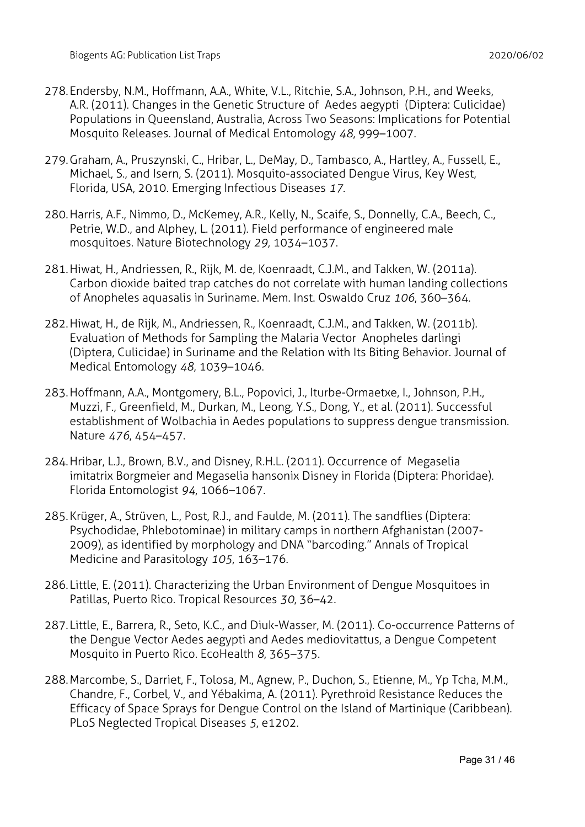- 278.Endersby, N.M., Hoffmann, A.A., White, V.L., Ritchie, S.A., Johnson, P.H., and Weeks, A.R. (2011). Changes in the Genetic Structure of Aedes aegypti (Diptera: Culicidae) Populations in Queensland, Australia, Across Two Seasons: Implications for Potential Mosquito Releases. Journal of Medical Entomology *48*, 999–1007.
- 279.Graham, A., Pruszynski, C., Hribar, L., DeMay, D., Tambasco, A., Hartley, A., Fussell, E., Michael, S., and Isern, S. (2011). Mosquito-associated Dengue Virus, Key West, Florida, USA, 2010. Emerging Infectious Diseases *17*.
- 280.Harris, A.F., Nimmo, D., McKemey, A.R., Kelly, N., Scaife, S., Donnelly, C.A., Beech, C., Petrie, W.D., and Alphey, L. (2011). Field performance of engineered male mosquitoes. Nature Biotechnology *29*, 1034–1037.
- 281.Hiwat, H., Andriessen, R., Rijk, M. de, Koenraadt, C.J.M., and Takken, W. (2011a). Carbon dioxide baited trap catches do not correlate with human landing collections of Anopheles aquasalis in Suriname. Mem. Inst. Oswaldo Cruz *106*, 360–364.
- 282.Hiwat, H., de Rijk, M., Andriessen, R., Koenraadt, C.J.M., and Takken, W. (2011b). Evaluation of Methods for Sampling the Malaria Vector Anopheles darlingi (Diptera, Culicidae) in Suriname and the Relation with Its Biting Behavior. Journal of Medical Entomology *48*, 1039–1046.
- 283.Hoffmann, A.A., Montgomery, B.L., Popovici, J., Iturbe-Ormaetxe, I., Johnson, P.H., Muzzi, F., Greenfield, M., Durkan, M., Leong, Y.S., Dong, Y., et al. (2011). Successful establishment of Wolbachia in Aedes populations to suppress dengue transmission. Nature *476*, 454–457.
- 284.Hribar, L.J., Brown, B.V., and Disney, R.H.L. (2011). Occurrence of Megaselia imitatrix Borgmeier and Megaselia hansonix Disney in Florida (Diptera: Phoridae). Florida Entomologist *94*, 1066–1067.
- 285.Krüger, A., Strüven, L., Post, R.J., and Faulde, M. (2011). The sandflies (Diptera: Psychodidae, Phlebotominae) in military camps in northern Afghanistan (2007- 2009), as identified by morphology and DNA "barcoding." Annals of Tropical Medicine and Parasitology *105*, 163–176.
- 286.Little, E. (2011). Characterizing the Urban Environment of Dengue Mosquitoes in Patillas, Puerto Rico. Tropical Resources *30*, 36–42.
- 287.Little, E., Barrera, R., Seto, K.C., and Diuk-Wasser, M. (2011). Co-occurrence Patterns of the Dengue Vector Aedes aegypti and Aedes mediovitattus, a Dengue Competent Mosquito in Puerto Rico. EcoHealth *8*, 365–375.
- 288.Marcombe, S., Darriet, F., Tolosa, M., Agnew, P., Duchon, S., Etienne, M., Yp Tcha, M.M., Chandre, F., Corbel, V., and Yébakima, A. (2011). Pyrethroid Resistance Reduces the Efficacy of Space Sprays for Dengue Control on the Island of Martinique (Caribbean). PLoS Neglected Tropical Diseases *5*, e1202.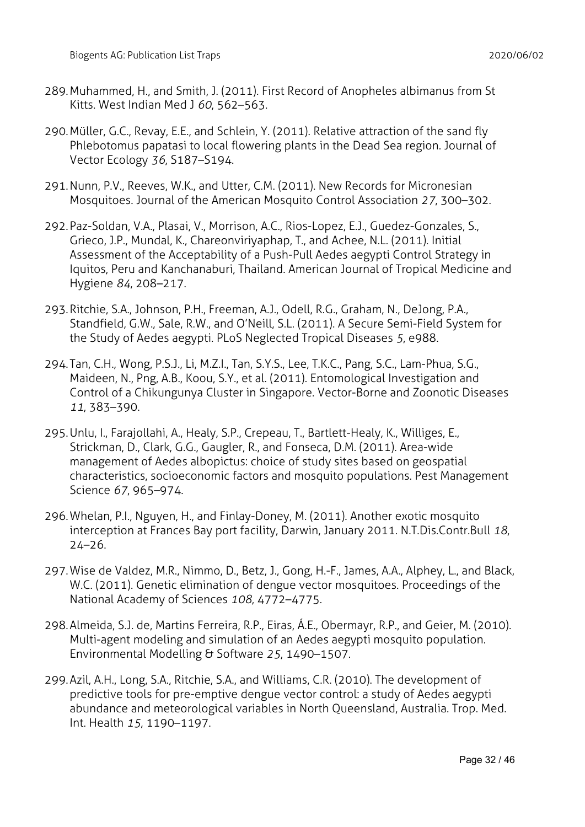- 289.Muhammed, H., and Smith, J. (2011). First Record of Anopheles albimanus from St Kitts. West Indian Med J *60*, 562–563.
- 290.Müller, G.C., Revay, E.E., and Schlein, Y. (2011). Relative attraction of the sand fly Phlebotomus papatasi to local flowering plants in the Dead Sea region. Journal of Vector Ecology *36*, S187–S194.
- 291.Nunn, P.V., Reeves, W.K., and Utter, C.M. (2011). New Records for Micronesian Mosquitoes. Journal of the American Mosquito Control Association *27*, 300–302.
- 292.Paz-Soldan, V.A., Plasai, V., Morrison, A.C., Rios-Lopez, E.J., Guedez-Gonzales, S., Grieco, J.P., Mundal, K., Chareonviriyaphap, T., and Achee, N.L. (2011). Initial Assessment of the Acceptability of a Push-Pull Aedes aegypti Control Strategy in Iquitos, Peru and Kanchanaburi, Thailand. American Journal of Tropical Medicine and Hygiene *84*, 208–217.
- 293.Ritchie, S.A., Johnson, P.H., Freeman, A.J., Odell, R.G., Graham, N., DeJong, P.A., Standfield, G.W., Sale, R.W., and O'Neill, S.L. (2011). A Secure Semi-Field System for the Study of Aedes aegypti. PLoS Neglected Tropical Diseases *5*, e988.
- 294.Tan, C.H., Wong, P.S.J., Li, M.Z.I., Tan, S.Y.S., Lee, T.K.C., Pang, S.C., Lam-Phua, S.G., Maideen, N., Png, A.B., Koou, S.Y., et al. (2011). Entomological Investigation and Control of a Chikungunya Cluster in Singapore. Vector-Borne and Zoonotic Diseases *11*, 383–390.
- 295.Unlu, I., Farajollahi, A., Healy, S.P., Crepeau, T., Bartlett-Healy, K., Williges, E., Strickman, D., Clark, G.G., Gaugler, R., and Fonseca, D.M. (2011). Area-wide management of Aedes albopictus: choice of study sites based on geospatial characteristics, socioeconomic factors and mosquito populations. Pest Management Science *67*, 965–974.
- 296.Whelan, P.I., Nguyen, H., and Finlay-Doney, M. (2011). Another exotic mosquito interception at Frances Bay port facility, Darwin, January 2011. N.T.Dis.Contr.Bull *18*, 24–26.
- 297.Wise de Valdez, M.R., Nimmo, D., Betz, J., Gong, H.-F., James, A.A., Alphey, L., and Black, W.C. (2011). Genetic elimination of dengue vector mosquitoes. Proceedings of the National Academy of Sciences *108*, 4772–4775.
- 298.Almeida, S.J. de, Martins Ferreira, R.P., Eiras, Á.E., Obermayr, R.P., and Geier, M. (2010). Multi-agent modeling and simulation of an Aedes aegypti mosquito population. Environmental Modelling & Software *25*, 1490–1507.
- 299.Azil, A.H., Long, S.A., Ritchie, S.A., and Williams, C.R. (2010). The development of predictive tools for pre-emptive dengue vector control: a study of Aedes aegypti abundance and meteorological variables in North Queensland, Australia. Trop. Med. Int. Health *15*, 1190–1197.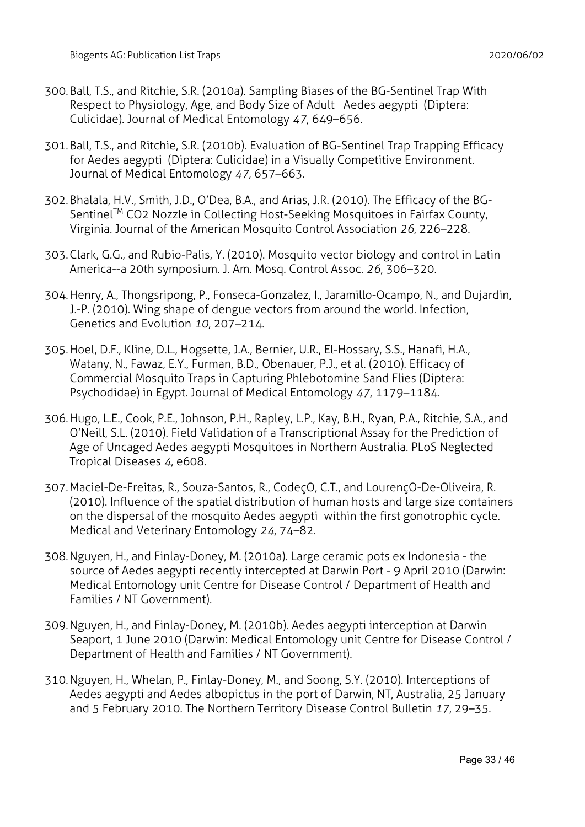- 300.Ball, T.S., and Ritchie, S.R. (2010a). Sampling Biases of the BG-Sentinel Trap With Respect to Physiology, Age, and Body Size of Adult Aedes aegypti (Diptera: Culicidae). Journal of Medical Entomology *47*, 649–656.
- 301.Ball, T.S., and Ritchie, S.R. (2010b). Evaluation of BG-Sentinel Trap Trapping Efficacy for Aedes aegypti (Diptera: Culicidae) in a Visually Competitive Environment. Journal of Medical Entomology *47*, 657–663.
- 302.Bhalala, H.V., Smith, J.D., O'Dea, B.A., and Arias, J.R. (2010). The Efficacy of the BG-Sentinel<sup>™</sup> CO2 Nozzle in Collecting Host-Seeking Mosquitoes in Fairfax County, Virginia. Journal of the American Mosquito Control Association *26*, 226–228.
- 303.Clark, G.G., and Rubio-Palis, Y. (2010). Mosquito vector biology and control in Latin America--a 20th symposium. J. Am. Mosq. Control Assoc. *26*, 306–320.
- 304.Henry, A., Thongsripong, P., Fonseca-Gonzalez, I., Jaramillo-Ocampo, N., and Dujardin, J.-P. (2010). Wing shape of dengue vectors from around the world. Infection, Genetics and Evolution *10*, 207–214.
- 305.Hoel, D.F., Kline, D.L., Hogsette, J.A., Bernier, U.R., El-Hossary, S.S., Hanafi, H.A., Watany, N., Fawaz, E.Y., Furman, B.D., Obenauer, P.J., et al. (2010). Efficacy of Commercial Mosquito Traps in Capturing Phlebotomine Sand Flies (Diptera: Psychodidae) in Egypt. Journal of Medical Entomology *47*, 1179–1184.
- 306.Hugo, L.E., Cook, P.E., Johnson, P.H., Rapley, L.P., Kay, B.H., Ryan, P.A., Ritchie, S.A., and O'Neill, S.L. (2010). Field Validation of a Transcriptional Assay for the Prediction of Age of Uncaged Aedes aegypti Mosquitoes in Northern Australia. PLoS Neglected Tropical Diseases *4*, e608.
- 307.Maciel-De-Freitas, R., Souza-Santos, R., CodeçO, C.T., and LourençO-De-Oliveira, R. (2010). Influence of the spatial distribution of human hosts and large size containers on the dispersal of the mosquito Aedes aegypti within the first gonotrophic cycle. Medical and Veterinary Entomology *24*, 74–82.
- 308.Nguyen, H., and Finlay-Doney, M. (2010a). Large ceramic pots ex Indonesia the source of Aedes aegypti recently intercepted at Darwin Port - 9 April 2010 (Darwin: Medical Entomology unit Centre for Disease Control / Department of Health and Families / NT Government).
- 309.Nguyen, H., and Finlay-Doney, M. (2010b). Aedes aegypti interception at Darwin Seaport, 1 June 2010 (Darwin: Medical Entomology unit Centre for Disease Control / Department of Health and Families / NT Government).
- 310.Nguyen, H., Whelan, P., Finlay-Doney, M., and Soong, S.Y. (2010). Interceptions of Aedes aegypti and Aedes albopictus in the port of Darwin, NT, Australia, 25 January and 5 February 2010. The Northern Territory Disease Control Bulletin *17*, 29–35.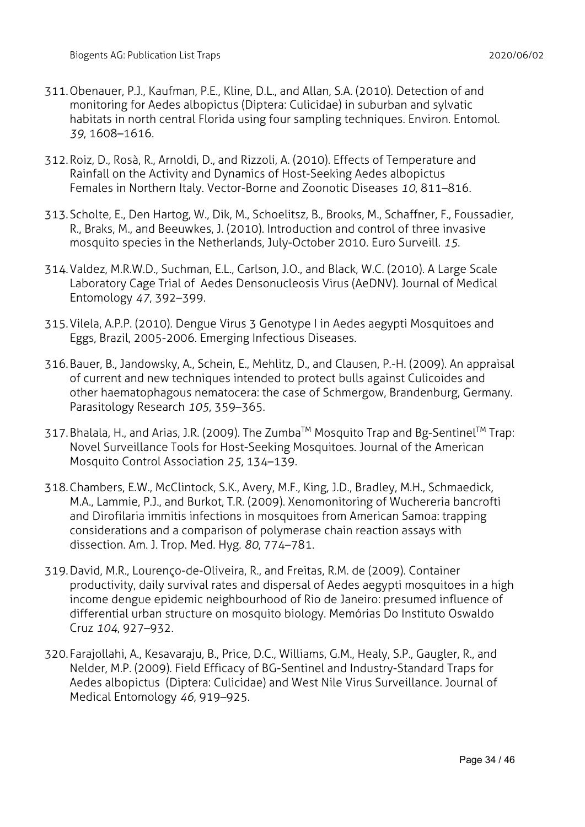- 311.Obenauer, P.J., Kaufman, P.E., Kline, D.L., and Allan, S.A. (2010). Detection of and monitoring for Aedes albopictus (Diptera: Culicidae) in suburban and sylvatic habitats in north central Florida using four sampling techniques. Environ. Entomol. *39*, 1608–1616.
- 312.Roiz, D., Rosà, R., Arnoldi, D., and Rizzoli, A. (2010). Effects of Temperature and Rainfall on the Activity and Dynamics of Host-Seeking Aedes albopictus Females in Northern Italy. Vector-Borne and Zoonotic Diseases *10*, 811–816.
- 313.Scholte, E., Den Hartog, W., Dik, M., Schoelitsz, B., Brooks, M., Schaffner, F., Foussadier, R., Braks, M., and Beeuwkes, J. (2010). Introduction and control of three invasive mosquito species in the Netherlands, July-October 2010. Euro Surveill. *15*.
- 314.Valdez, M.R.W.D., Suchman, E.L., Carlson, J.O., and Black, W.C. (2010). A Large Scale Laboratory Cage Trial of Aedes Densonucleosis Virus (AeDNV). Journal of Medical Entomology *47*, 392–399.
- 315.Vilela, A.P.P. (2010). Dengue Virus 3 Genotype I in Aedes aegypti Mosquitoes and Eggs, Brazil, 2005-2006. Emerging Infectious Diseases.
- 316.Bauer, B., Jandowsky, A., Schein, E., Mehlitz, D., and Clausen, P.-H. (2009). An appraisal of current and new techniques intended to protect bulls against Culicoides and other haematophagous nematocera: the case of Schmergow, Brandenburg, Germany. Parasitology Research *105*, 359–365.
- 317. Bhalala, H., and Arias, J.R. (2009). The Zumba<sup>™</sup> Mosquito Trap and Bg-Sentinel<sup>™</sup> Trap: Novel Surveillance Tools for Host-Seeking Mosquitoes. Journal of the American Mosquito Control Association *25*, 134–139.
- 318.Chambers, E.W., McClintock, S.K., Avery, M.F., King, J.D., Bradley, M.H., Schmaedick, M.A., Lammie, P.J., and Burkot, T.R. (2009). Xenomonitoring of Wuchereria bancrofti and Dirofilaria immitis infections in mosquitoes from American Samoa: trapping considerations and a comparison of polymerase chain reaction assays with dissection. Am. J. Trop. Med. Hyg. *80*, 774–781.
- 319.David, M.R., Lourenço-de-Oliveira, R., and Freitas, R.M. de (2009). Container productivity, daily survival rates and dispersal of Aedes aegypti mosquitoes in a high income dengue epidemic neighbourhood of Rio de Janeiro: presumed influence of differential urban structure on mosquito biology. Memórias Do Instituto Oswaldo Cruz *104*, 927–932.
- 320.Farajollahi, A., Kesavaraju, B., Price, D.C., Williams, G.M., Healy, S.P., Gaugler, R., and Nelder, M.P. (2009). Field Efficacy of BG-Sentinel and Industry-Standard Traps for Aedes albopictus (Diptera: Culicidae) and West Nile Virus Surveillance. Journal of Medical Entomology *46*, 919–925.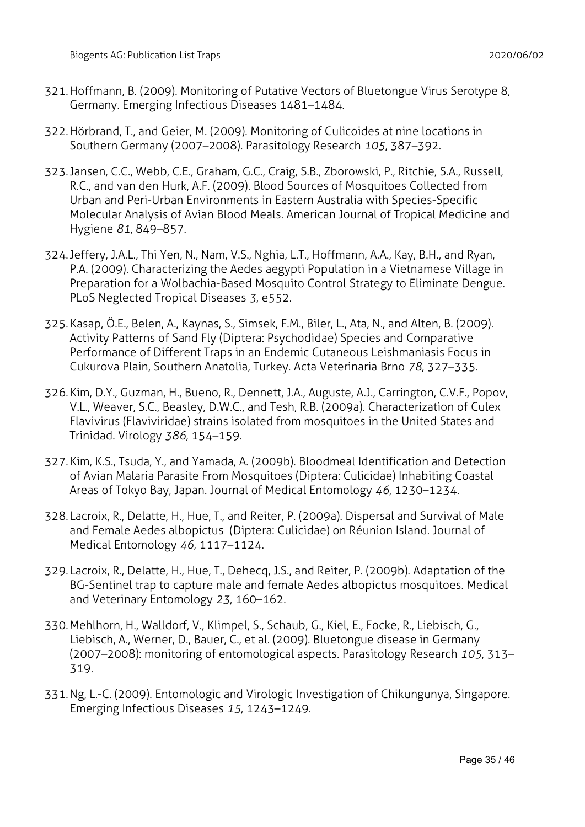- 321.Hoffmann, B. (2009). Monitoring of Putative Vectors of Bluetongue Virus Serotype 8, Germany. Emerging Infectious Diseases 1481–1484.
- 322.Hörbrand, T., and Geier, M. (2009). Monitoring of Culicoides at nine locations in Southern Germany (2007–2008). Parasitology Research *105*, 387–392.
- 323.Jansen, C.C., Webb, C.E., Graham, G.C., Craig, S.B., Zborowski, P., Ritchie, S.A., Russell, R.C., and van den Hurk, A.F. (2009). Blood Sources of Mosquitoes Collected from Urban and Peri-Urban Environments in Eastern Australia with Species-Specific Molecular Analysis of Avian Blood Meals. American Journal of Tropical Medicine and Hygiene *81*, 849–857.
- 324.Jeffery, J.A.L., Thi Yen, N., Nam, V.S., Nghia, L.T., Hoffmann, A.A., Kay, B.H., and Ryan, P.A. (2009). Characterizing the Aedes aegypti Population in a Vietnamese Village in Preparation for a Wolbachia-Based Mosquito Control Strategy to Eliminate Dengue. PLoS Neglected Tropical Diseases *3*, e552.
- 325.Kasap, Ö.E., Belen, A., Kaynas, S., Simsek, F.M., Biler, L., Ata, N., and Alten, B. (2009). Activity Patterns of Sand Fly (Diptera: Psychodidae) Species and Comparative Performance of Different Traps in an Endemic Cutaneous Leishmaniasis Focus in Cukurova Plain, Southern Anatolia, Turkey. Acta Veterinaria Brno *78*, 327–335.
- 326.Kim, D.Y., Guzman, H., Bueno, R., Dennett, J.A., Auguste, A.J., Carrington, C.V.F., Popov, V.L., Weaver, S.C., Beasley, D.W.C., and Tesh, R.B. (2009a). Characterization of Culex Flavivirus (Flaviviridae) strains isolated from mosquitoes in the United States and Trinidad. Virology *386*, 154–159.
- 327.Kim, K.S., Tsuda, Y., and Yamada, A. (2009b). Bloodmeal Identification and Detection of Avian Malaria Parasite From Mosquitoes (Diptera: Culicidae) Inhabiting Coastal Areas of Tokyo Bay, Japan. Journal of Medical Entomology *46*, 1230–1234.
- 328.Lacroix, R., Delatte, H., Hue, T., and Reiter, P. (2009a). Dispersal and Survival of Male and Female Aedes albopictus (Diptera: Culicidae) on Réunion Island. Journal of Medical Entomology *46*, 1117–1124.
- 329.Lacroix, R., Delatte, H., Hue, T., Dehecq, J.S., and Reiter, P. (2009b). Adaptation of the BG-Sentinel trap to capture male and female Aedes albopictus mosquitoes. Medical and Veterinary Entomology *23*, 160–162.
- 330.Mehlhorn, H., Walldorf, V., Klimpel, S., Schaub, G., Kiel, E., Focke, R., Liebisch, G., Liebisch, A., Werner, D., Bauer, C., et al. (2009). Bluetongue disease in Germany (2007–2008): monitoring of entomological aspects. Parasitology Research *105*, 313– 319.
- 331.Ng, L.-C. (2009). Entomologic and Virologic Investigation of Chikungunya, Singapore. Emerging Infectious Diseases *15*, 1243–1249.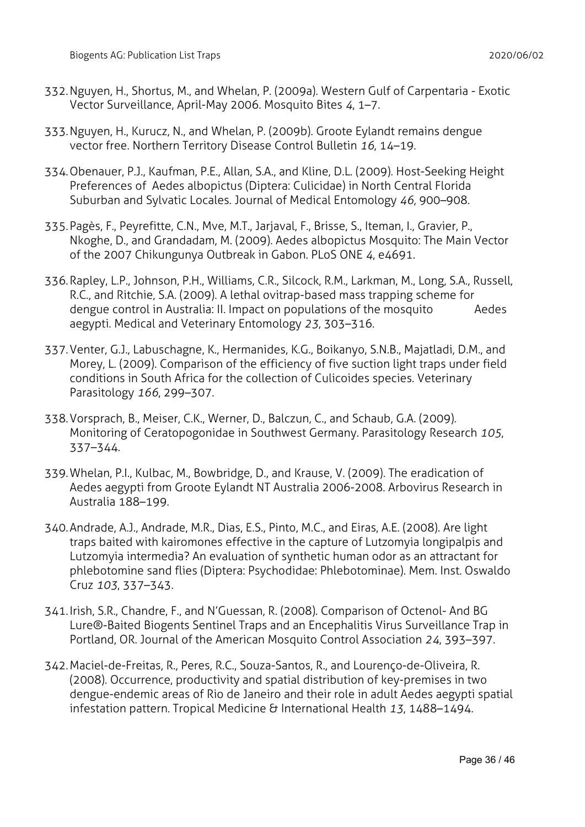- 332.Nguyen, H., Shortus, M., and Whelan, P. (2009a). Western Gulf of Carpentaria Exotic Vector Surveillance, April-May 2006. Mosquito Bites *4*, 1–7.
- 333.Nguyen, H., Kurucz, N., and Whelan, P. (2009b). Groote Eylandt remains dengue vector free. Northern Territory Disease Control Bulletin *16*, 14–19.
- 334.Obenauer, P.J., Kaufman, P.E., Allan, S.A., and Kline, D.L. (2009). Host-Seeking Height Preferences of Aedes albopictus (Diptera: Culicidae) in North Central Florida Suburban and Sylvatic Locales. Journal of Medical Entomology *46*, 900–908.
- 335.Pagès, F., Peyrefitte, C.N., Mve, M.T., Jarjaval, F., Brisse, S., Iteman, I., Gravier, P., Nkoghe, D., and Grandadam, M. (2009). Aedes albopictus Mosquito: The Main Vector of the 2007 Chikungunya Outbreak in Gabon. PLoS ONE *4*, e4691.
- 336.Rapley, L.P., Johnson, P.H., Williams, C.R., Silcock, R.M., Larkman, M., Long, S.A., Russell, R.C., and Ritchie, S.A. (2009). A lethal ovitrap-based mass trapping scheme for dengue control in Australia: II. Impact on populations of the mosquito Aedes aegypti. Medical and Veterinary Entomology *23*, 303–316.
- 337.Venter, G.J., Labuschagne, K., Hermanides, K.G., Boikanyo, S.N.B., Majatladi, D.M., and Morey, L. (2009). Comparison of the efficiency of five suction light traps under field conditions in South Africa for the collection of Culicoides species. Veterinary Parasitology *166*, 299–307.
- 338.Vorsprach, B., Meiser, C.K., Werner, D., Balczun, C., and Schaub, G.A. (2009). Monitoring of Ceratopogonidae in Southwest Germany. Parasitology Research *105*, 337–344.
- 339.Whelan, P.I., Kulbac, M., Bowbridge, D., and Krause, V. (2009). The eradication of Aedes aegypti from Groote Eylandt NT Australia 2006-2008. Arbovirus Research in Australia 188–199.
- 340.Andrade, A.J., Andrade, M.R., Dias, E.S., Pinto, M.C., and Eiras, A.E. (2008). Are light traps baited with kairomones effective in the capture of Lutzomyia longipalpis and Lutzomyia intermedia? An evaluation of synthetic human odor as an attractant for phlebotomine sand flies (Diptera: Psychodidae: Phlebotominae). Mem. Inst. Oswaldo Cruz *103*, 337–343.
- 341.Irish, S.R., Chandre, F., and N'Guessan, R. (2008). Comparison of Octenol- And BG Lure®-Baited Biogents Sentinel Traps and an Encephalitis Virus Surveillance Trap in Portland, OR. Journal of the American Mosquito Control Association *24*, 393–397.
- 342.Maciel-de-Freitas, R., Peres, R.C., Souza-Santos, R., and Lourenço-de-Oliveira, R. (2008). Occurrence, productivity and spatial distribution of key-premises in two dengue-endemic areas of Rio de Janeiro and their role in adult Aedes aegypti spatial infestation pattern. Tropical Medicine & International Health *13*, 1488–1494.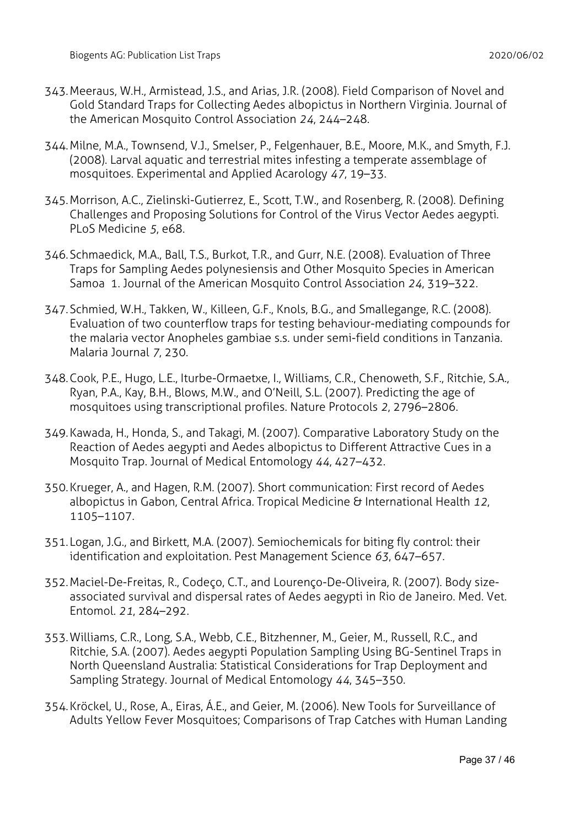- 343.Meeraus, W.H., Armistead, J.S., and Arias, J.R. (2008). Field Comparison of Novel and Gold Standard Traps for Collecting Aedes albopictus in Northern Virginia. Journal of the American Mosquito Control Association *24*, 244–248.
- 344.Milne, M.A., Townsend, V.J., Smelser, P., Felgenhauer, B.E., Moore, M.K., and Smyth, F.J. (2008). Larval aquatic and terrestrial mites infesting a temperate assemblage of mosquitoes. Experimental and Applied Acarology *47*, 19–33.
- 345.Morrison, A.C., Zielinski-Gutierrez, E., Scott, T.W., and Rosenberg, R. (2008). Defining Challenges and Proposing Solutions for Control of the Virus Vector Aedes aegypti. PLoS Medicine *5*, e68.
- 346.Schmaedick, M.A., Ball, T.S., Burkot, T.R., and Gurr, N.E. (2008). Evaluation of Three Traps for Sampling Aedes polynesiensis and Other Mosquito Species in American Samoa 1. Journal of the American Mosquito Control Association *24*, 319–322.
- 347.Schmied, W.H., Takken, W., Killeen, G.F., Knols, B.G., and Smallegange, R.C. (2008). Evaluation of two counterflow traps for testing behaviour-mediating compounds for the malaria vector Anopheles gambiae s.s. under semi-field conditions in Tanzania. Malaria Journal *7*, 230.
- 348.Cook, P.E., Hugo, L.E., Iturbe-Ormaetxe, I., Williams, C.R., Chenoweth, S.F., Ritchie, S.A., Ryan, P.A., Kay, B.H., Blows, M.W., and O'Neill, S.L. (2007). Predicting the age of mosquitoes using transcriptional profiles. Nature Protocols *2*, 2796–2806.
- 349.Kawada, H., Honda, S., and Takagi, M. (2007). Comparative Laboratory Study on the Reaction of Aedes aegypti and Aedes albopictus to Different Attractive Cues in a Mosquito Trap. Journal of Medical Entomology *44*, 427–432.
- 350.Krueger, A., and Hagen, R.M. (2007). Short communication: First record of Aedes albopictus in Gabon, Central Africa. Tropical Medicine & International Health *12*, 1105–1107.
- 351.Logan, J.G., and Birkett, M.A. (2007). Semiochemicals for biting fly control: their identification and exploitation. Pest Management Science *63*, 647–657.
- 352.Maciel-De-Freitas, R., Codeço, C.T., and Lourenço-De-Oliveira, R. (2007). Body sizeassociated survival and dispersal rates of Aedes aegypti in Rio de Janeiro. Med. Vet. Entomol. *21*, 284–292.
- 353.Williams, C.R., Long, S.A., Webb, C.E., Bitzhenner, M., Geier, M., Russell, R.C., and Ritchie, S.A. (2007). Aedes aegypti Population Sampling Using BG-Sentinel Traps in North Queensland Australia: Statistical Considerations for Trap Deployment and Sampling Strategy. Journal of Medical Entomology *44*, 345–350.
- 354.Kröckel, U., Rose, A., Eiras, Á.E., and Geier, M. (2006). New Tools for Surveillance of Adults Yellow Fever Mosquitoes; Comparisons of Trap Catches with Human Landing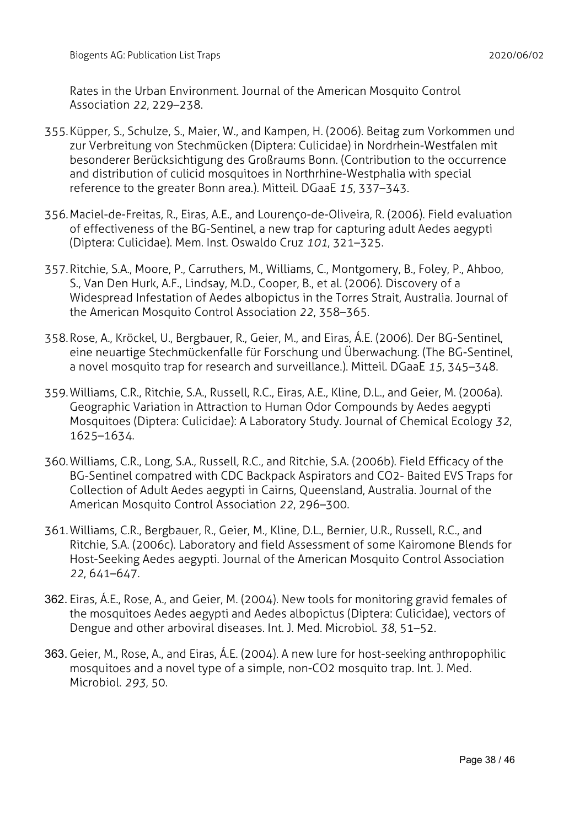Rates in the Urban Environment. Journal of the American Mosquito Control Association *22*, 229–238.

- 355.Küpper, S., Schulze, S., Maier, W., and Kampen, H. (2006). Beitag zum Vorkommen und zur Verbreitung von Stechmücken (Diptera: Culicidae) in Nordrhein-Westfalen mit besonderer Berücksichtigung des Großraums Bonn. (Contribution to the occurrence and distribution of culicid mosquitoes in Northrhine-Westphalia with special reference to the greater Bonn area.). Mitteil. DGaaE *15*, 337–343.
- 356.Maciel-de-Freitas, R., Eiras, A.E., and Lourenço-de-Oliveira, R. (2006). Field evaluation of effectiveness of the BG-Sentinel, a new trap for capturing adult Aedes aegypti (Diptera: Culicidae). Mem. Inst. Oswaldo Cruz *101*, 321–325.
- 357.Ritchie, S.A., Moore, P., Carruthers, M., Williams, C., Montgomery, B., Foley, P., Ahboo, S., Van Den Hurk, A.F., Lindsay, M.D., Cooper, B., et al. (2006). Discovery of a Widespread Infestation of Aedes albopictus in the Torres Strait, Australia. Journal of the American Mosquito Control Association *22*, 358–365.
- 358.Rose, A., Kröckel, U., Bergbauer, R., Geier, M., and Eiras, Á.E. (2006). Der BG-Sentinel, eine neuartige Stechmückenfalle für Forschung und Überwachung. (The BG-Sentinel, a novel mosquito trap for research and surveillance.). Mitteil. DGaaE *15*, 345–348.
- 359.Williams, C.R., Ritchie, S.A., Russell, R.C., Eiras, A.E., Kline, D.L., and Geier, M. (2006a). Geographic Variation in Attraction to Human Odor Compounds by Aedes aegypti Mosquitoes (Diptera: Culicidae): A Laboratory Study. Journal of Chemical Ecology *32*, 1625–1634.
- 360.Williams, C.R., Long, S.A., Russell, R.C., and Ritchie, S.A. (2006b). Field Efficacy of the BG-Sentinel compatred with CDC Backpack Aspirators and CO2- Baited EVS Traps for Collection of Adult Aedes aegypti in Cairns, Queensland, Australia. Journal of the American Mosquito Control Association *22*, 296–300.
- 361.Williams, C.R., Bergbauer, R., Geier, M., Kline, D.L., Bernier, U.R., Russell, R.C., and Ritchie, S.A. (2006c). Laboratory and field Assessment of some Kairomone Blends for Host-Seeking Aedes aegypti. Journal of the American Mosquito Control Association *22*, 641–647.
- 362. Eiras, Á.E., Rose, A., and Geier, M. (2004). New tools for monitoring gravid females of the mosquitoes Aedes aegypti and Aedes albopictus (Diptera: Culicidae), vectors of Dengue and other arboviral diseases. Int. J. Med. Microbiol. *38*, 51–52.
- 363. Geier, M., Rose, A., and Eiras, Á.E. (2004). A new lure for host-seeking anthropophilic mosquitoes and a novel type of a simple, non-CO2 mosquito trap. Int. J. Med. Microbiol. *293*, 50.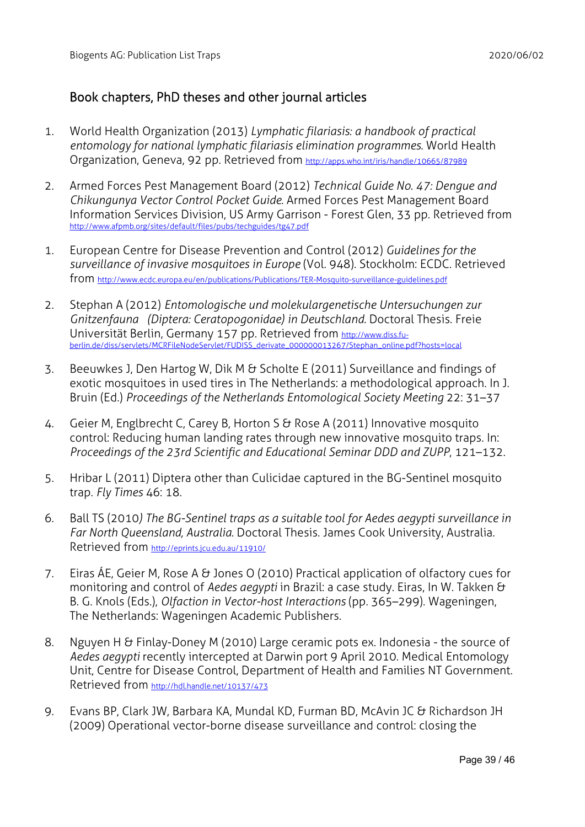## Book chapters, PhD theses and other journal articles

- 1. World Health Organization (2013) *Lymphatic filariasis: a handbook of practical entomology for national lymphatic filariasis elimination programmes.* World Health Organization, Geneva, 92 pp. Retrieved from http://apps.who.int/iris/handle/10665/87989
- 2. Armed Forces Pest Management Board (2012) *Technical Guide No. 47: Dengue and Chikungunya Vector Control Pocket Guide.* Armed Forces Pest Management Board Information Services Division, US Army Garrison - Forest Glen, 33 pp. Retrieved from http://www.afpmb.org/sites/default/files/pubs/techguides/tg47.pdf
- 1. European Centre for Disease Prevention and Control (2012) *Guidelines for the surveillance of invasive mosquitoes in Europe* (Vol. 948). Stockholm: ECDC. Retrieved from http://www.ecdc.europa.eu/en/publications/Publications/TER-Mosquito-surveillance-guidelines.pdf
- 2. Stephan A (2012) *Entomologische und molekulargenetische Untersuchungen zur Gnitzenfauna (Diptera: Ceratopogonidae) in Deutschland.* Doctoral Thesis. Freie Universität Berlin, Germany 157 pp. Retrieved from http://www.diss.fuberlin.de/diss/servlets/MCRFileNodeServlet/FUDISS\_derivate\_000000013267/Stephan\_online.pdf?hosts=local
- 3. Beeuwkes J, Den Hartog W, Dik M & Scholte E (2011) Surveillance and findings of exotic mosquitoes in used tires in The Netherlands: a methodological approach. In J. Bruin (Ed.) *Proceedings of the Netherlands Entomological Society Meeting* 22: 31–37
- 4. Geier M, Englbrecht C, Carey B, Horton S & Rose A (2011) Innovative mosquito control: Reducing human landing rates through new innovative mosquito traps. In: *Proceedings of the 23rd Scientific and Educational Seminar DDD and ZUPP*, 121–132.
- 5. Hribar L (2011) Diptera other than Culicidae captured in the BG-Sentinel mosquito trap. *Fly Times* 46: 18.
- 6. Ball TS (2010*) The BG-Sentinel traps as a suitable tool for Aedes aegypti surveillance in Far North Queensland, Australia.* Doctoral Thesis. James Cook University, Australia. Retrieved from http://eprints.jcu.edu.au/11910/
- 7. Eiras ÁE, Geier M, Rose A & Jones O (2010) Practical application of olfactory cues for monitoring and control of *Aedes aegypti* in Brazil: a case study. Eiras, In W. Takken & B. G. Knols (Eds.), *Olfaction in Vector-host Interactions* (pp. 365–299). Wageningen, The Netherlands: Wageningen Academic Publishers.
- 8. Nguyen H & Finlay-Doney M (2010) Large ceramic pots ex. Indonesia the source of *Aedes aegypti* recently intercepted at Darwin port 9 April 2010. Medical Entomology Unit, Centre for Disease Control, Department of Health and Families NT Government. Retrieved from http://hdl.handle.net/10137/473
- 9. Evans BP, Clark JW, Barbara KA, Mundal KD, Furman BD, McAvin JC & Richardson JH (2009) Operational vector-borne disease surveillance and control: closing the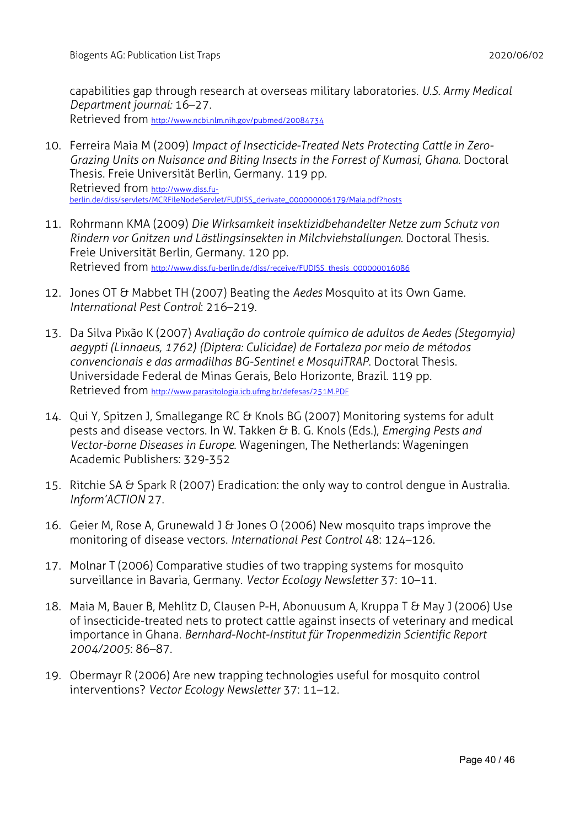capabilities gap through research at overseas military laboratories. *U.S. Army Medical Department journal:* 16–27. Retrieved from http://www.ncbi.nlm.nih.gov/pubmed/20084734

- 10. Ferreira Maia M (2009) *Impact of Insecticide-Treated Nets Protecting Cattle in Zero-Grazing Units on Nuisance and Biting Insects in the Forrest of Kumasi, Ghana.* Doctoral Thesis. Freie Universität Berlin, Germany. 119 pp. Retrieved from http://www.diss.fuberlin.de/diss/servlets/MCRFileNodeServlet/FUDISS\_derivate\_000000006179/Maia.pdf?hosts
- 11. Rohrmann KMA (2009) *Die Wirksamkeit insektizidbehandelter Netze zum Schutz von Rindern vor Gnitzen und Lästlingsinsekten in Milchviehstallungen.* Doctoral Thesis. Freie Universität Berlin, Germany. 120 pp. Retrieved from http://www.diss.fu-berlin.de/diss/receive/FUDISS\_thesis\_000000016086
- 12. Jones OT & Mabbet TH (2007) Beating the *Aedes* Mosquito at its Own Game. *International Pest Control*: 216–219.
- 13. Da Silva Pixão K (2007) *Avaliação do controle químico de adultos de Aedes (Stegomyia) aegypti (Linnaeus, 1762) (Diptera: Culicidae) de Fortaleza por meio de métodos convencionais e das armadilhas BG-Sentinel e MosquiTRAP*. Doctoral Thesis. Universidade Federal de Minas Gerais, Belo Horizonte, Brazil. 119 pp. Retrieved from http://www.parasitologia.icb.ufmg.br/defesas/251M.PDF
- 14. Qui Y, Spitzen J, Smallegange RC & Knols BG (2007) Monitoring systems for adult pests and disease vectors. In W. Takken & B. G. Knols (Eds.), *Emerging Pests and Vector-borne Diseases in Europe*. Wageningen, The Netherlands: Wageningen Academic Publishers: 329-352
- 15. Ritchie SA & Spark R (2007) Eradication: the only way to control dengue in Australia. *Inform'ACTION* 27.
- 16. Geier M, Rose A, Grunewald J & Jones O (2006) New mosquito traps improve the monitoring of disease vectors. *International Pest Control* 48: 124–126.
- 17. Molnar T (2006) Comparative studies of two trapping systems for mosquito surveillance in Bavaria, Germany. *Vector Ecology Newsletter* 37: 10–11.
- 18. Maia M, Bauer B, Mehlitz D, Clausen P-H, Abonuusum A, Kruppa T & May J (2006) Use of insecticide-treated nets to protect cattle against insects of veterinary and medical importance in Ghana. *Bernhard-Nocht-Institut für Tropenmedizin Scientific Report 2004/2005*: 86–87.
- 19. Obermayr R (2006) Are new trapping technologies useful for mosquito control interventions? *Vector Ecology Newsletter* 37: 11–12.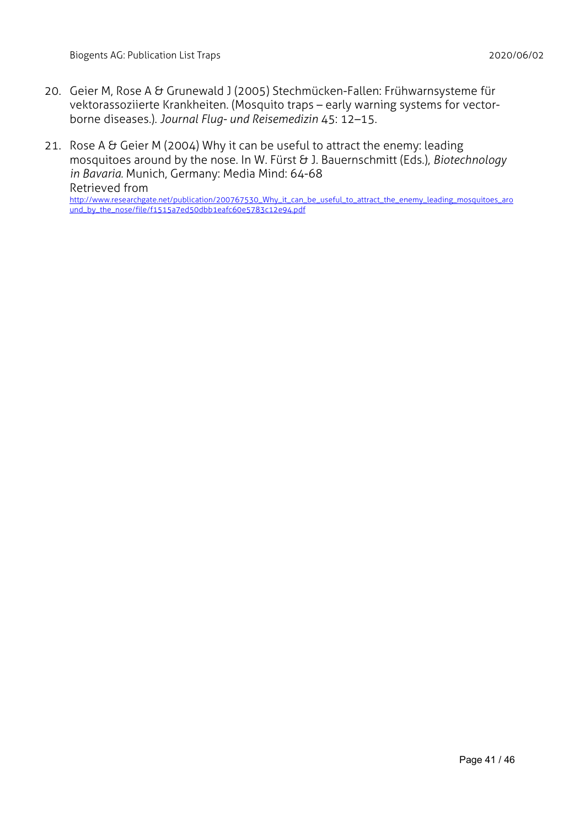- 20. Geier M, Rose A & Grunewald J (2005) Stechmücken-Fallen: Frühwarnsysteme für vektorassoziierte Krankheiten. (Mosquito traps – early warning systems for vectorborne diseases.). *Journal Flug- und Reisemedizin* 45: 12–15.
- 21. Rose A & Geier M (2004) Why it can be useful to attract the enemy: leading mosquitoes around by the nose. In W. Fürst & J. Bauernschmitt (Eds.), *Biotechnology in Bavaria.* Munich, Germany: Media Mind: 64-68 Retrieved from http://www.researchgate.net/publication/200767530\_Why\_it\_can\_be\_useful\_to\_attract\_the\_enemy\_leading\_mosquitoes\_aro und\_by\_the\_nose/file/f1515a7ed50dbb1eafc60e5783c12e94.pdf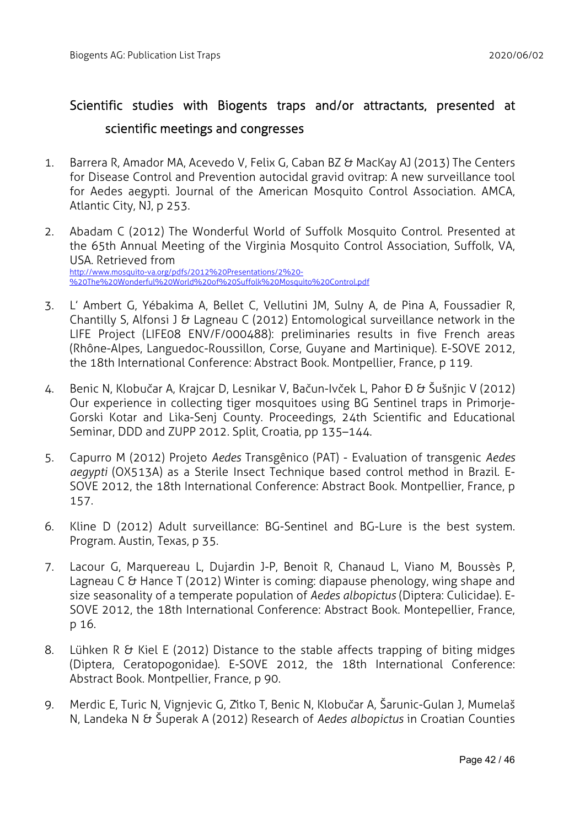## Scientific studies with Biogents traps and/or attractants, presented at scientific meetings and congresses

- 1. Barrera R, Amador MA, Acevedo V, Felix G, Caban BZ & MacKay AJ (2013) The Centers for Disease Control and Prevention autocidal gravid ovitrap: A new surveillance tool for Aedes aegypti. Journal of the American Mosquito Control Association. AMCA, Atlantic City, NJ, p 253.
- 2. Abadam C (2012) The Wonderful World of Suffolk Mosquito Control. Presented at the 65th Annual Meeting of the Virginia Mosquito Control Association, Suffolk, VA, USA. Retrieved from http://www.mosquito-va.org/pdfs/2012%20Presentations/2%20- %20The%20Wonderful%20World%20of%20Suffolk%20Mosquito%20Control.pdf
- 3. L' Ambert G, Yébakima A, Bellet C, Vellutini JM, Sulny A, de Pina A, Foussadier R, Chantilly S, Alfonsi J & Lagneau C (2012) Entomological surveillance network in the LIFE Project (LIFE08 ENV/F/000488): preliminaries results in five French areas (Rhône-Alpes, Languedoc-Roussillon, Corse, Guyane and Martinique). E-SOVE 2012, the 18th International Conference: Abstract Book. Montpellier, France, p 119.
- 4. Benic N, Klobučar A, Krajcar D, Lesnikar V, Bačun-Ivček L, Pahor Đ & Šušnjic V (2012) Our experience in collecting tiger mosquitoes using BG Sentinel traps in Primorje-Gorski Kotar and Lika-Senj County. Proceedings, 24th Scientific and Educational Seminar, DDD and ZUPP 2012. Split, Croatia, pp 135–144.
- 5. Capurro M (2012) Projeto *Aedes* Transgênico (PAT) Evaluation of transgenic *Aedes aegypti* (OX513A) as a Sterile Insect Technique based control method in Brazil. E-SOVE 2012, the 18th International Conference: Abstract Book. Montpellier, France, p 157.
- 6. Kline D (2012) Adult surveillance: BG-Sentinel and BG-Lure is the best system. Program. Austin, Texas, p 35.
- 7. Lacour G, Marquereau L, Dujardin J-P, Benoit R, Chanaud L, Viano M, Boussès P, Lagneau C & Hance T (2012) Winter is coming: diapause phenology, wing shape and size seasonality of a temperate population of *Aedes albopictus* (Diptera: Culicidae). E-SOVE 2012, the 18th International Conference: Abstract Book. Montepellier, France, p 16.
- 8. Lühken R & Kiel E (2012) Distance to the stable affects trapping of biting midges (Diptera, Ceratopogonidae). E-SOVE 2012, the 18th International Conference: Abstract Book. Montpellier, France, p 90.
- 9. Merdic E, Turic N, Vignjevic G, Žitko T, Benic N, Klobučar A, Šarunic-Gulan J, Mumelaš N, Landeka N & Šuperak A (2012) Research of *Aedes albopictus* in Croatian Counties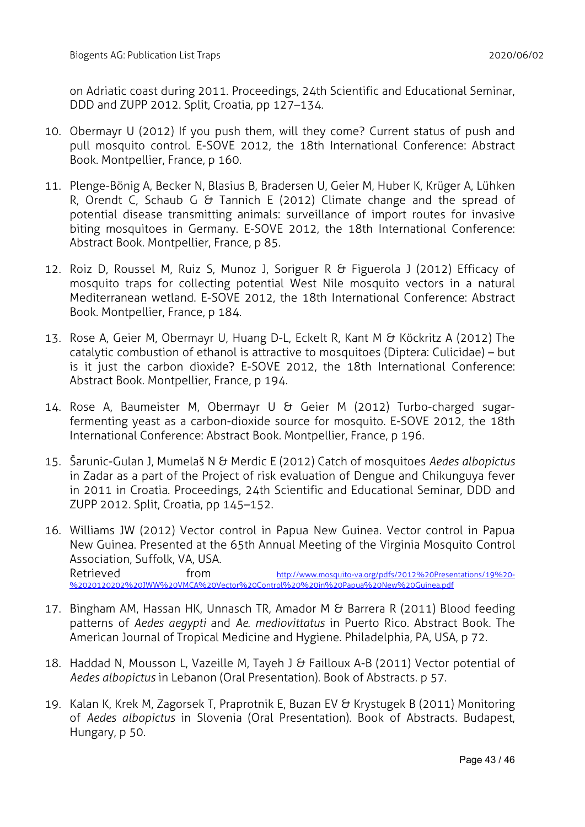on Adriatic coast during 2011. Proceedings, 24th Scientific and Educational Seminar, DDD and ZUPP 2012. Split, Croatia, pp 127–134.

- 10. Obermayr U (2012) If you push them, will they come? Current status of push and pull mosquito control. E-SOVE 2012, the 18th International Conference: Abstract Book. Montpellier, France, p 160.
- 11. Plenge-Bönig A, Becker N, Blasius B, Bradersen U, Geier M, Huber K, Krüger A, Lühken R, Orendt C, Schaub G & Tannich E (2012) Climate change and the spread of potential disease transmitting animals: surveillance of import routes for invasive biting mosquitoes in Germany. E-SOVE 2012, the 18th International Conference: Abstract Book. Montpellier, France, p 85.
- 12. Roiz D, Roussel M, Ruiz S, Munoz J, Soriguer R & Figuerola J (2012) Efficacy of mosquito traps for collecting potential West Nile mosquito vectors in a natural Mediterranean wetland. E-SOVE 2012, the 18th International Conference: Abstract Book. Montpellier, France, p 184.
- 13. Rose A, Geier M, Obermayr U, Huang D-L, Eckelt R, Kant M & Köckritz A (2012) The catalytic combustion of ethanol is attractive to mosquitoes (Diptera: Culicidae) – but is it just the carbon dioxide? E-SOVE 2012, the 18th International Conference: Abstract Book. Montpellier, France, p 194.
- 14. Rose A, Baumeister M, Obermayr U & Geier M (2012) Turbo-charged sugarfermenting yeast as a carbon-dioxide source for mosquito. E-SOVE 2012, the 18th International Conference: Abstract Book. Montpellier, France, p 196.
- 15. Šarunic-Gulan J, Mumelaš N & Merdic E (2012) Catch of mosquitoes *Aedes albopictus* in Zadar as a part of the Project of risk evaluation of Dengue and Chikunguya fever in 2011 in Croatia. Proceedings, 24th Scientific and Educational Seminar, DDD and ZUPP 2012. Split, Croatia, pp 145–152.
- 16. Williams JW (2012) Vector control in Papua New Guinea. Vector control in Papua New Guinea. Presented at the 65th Annual Meeting of the Virginia Mosquito Control Association, Suffolk, VA, USA. Retrieved from http://www.mosquito-va.org/pdfs/2012%20Presentations/19%20-%2020120202%20JWW%20VMCA%20Vector%20Control%20%20in%20Papua%20New%20Guinea.pdf
- 17. Bingham AM, Hassan HK, Unnasch TR, Amador M & Barrera R (2011) Blood feeding patterns of *Aedes aegypti* and *Ae. mediovittatus* in Puerto Rico. Abstract Book. The American Journal of Tropical Medicine and Hygiene. Philadelphia, PA, USA, p 72.
- 18. Haddad N, Mousson L, Vazeille M, Tayeh J & Failloux A-B (2011) Vector potential of *Aedes albopictus* in Lebanon (Oral Presentation). Book of Abstracts. p 57.
- 19. Kalan K, Krek M, Zagorsek T, Praprotnik E, Buzan EV & Krystugek B (2011) Monitoring of *Aedes albopictus* in Slovenia (Oral Presentation). Book of Abstracts. Budapest, Hungary, p 50.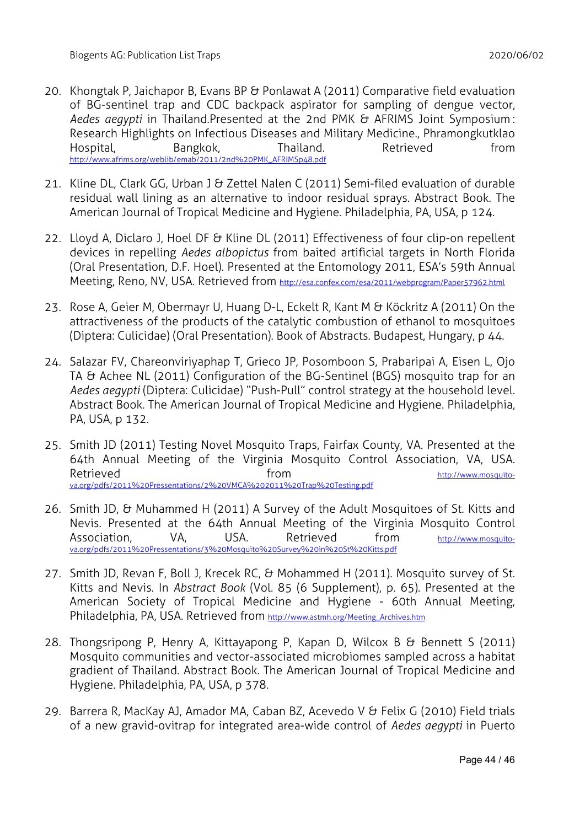- 20. Khongtak P, Jaichapor B, Evans BP & Ponlawat A (2011) Comparative field evaluation of BG-sentinel trap and CDC backpack aspirator for sampling of dengue vector, Aedes aegypti in Thailand.Presented at the 2nd PMK & AFRIMS Joint Symposium: Research Highlights on Infectious Diseases and Military Medicine., Phramongkutklao Hospital, Bangkok, Thailand. Retrieved from http://www.afrims.org/weblib/emab/2011/2nd%20PMK\_AFRIMSp48.pdf
- 21. Kline DL, Clark GG, Urban J & Zettel Nalen C (2011) Semi-filed evaluation of durable residual wall lining as an alternative to indoor residual sprays. Abstract Book. The American Journal of Tropical Medicine and Hygiene. Philadelphia, PA, USA, p 124.
- 22. Lloyd A, Diclaro J, Hoel DF & Kline DL (2011) Effectiveness of four clip-on repellent devices in repelling *Aedes albopictus* from baited artificial targets in North Florida (Oral Presentation, D.F. Hoel). Presented at the Entomology 2011, ESA's 59th Annual Meeting, Reno, NV, USA. Retrieved from http://esa.confex.com/esa/2011/webprogram/Paper57962.html
- 23. Rose A, Geier M, Obermayr U, Huang D-L, Eckelt R, Kant M & Köckritz A (2011) On the attractiveness of the products of the catalytic combustion of ethanol to mosquitoes (Diptera: Culicidae) (Oral Presentation). Book of Abstracts. Budapest, Hungary, p 44.
- 24. Salazar FV, Chareonviriyaphap T, Grieco JP, Posomboon S, Prabaripai A, Eisen L, Ojo TA & Achee NL (2011) Configuration of the BG-Sentinel (BGS) mosquito trap for an *Aedes aegypti* (Diptera: Culicidae) "Push-Pull" control strategy at the household level. Abstract Book. The American Journal of Tropical Medicine and Hygiene. Philadelphia, PA, USA, p 132.
- 25. Smith JD (2011) Testing Novel Mosquito Traps, Fairfax County, VA. Presented at the 64th Annual Meeting of the Virginia Mosquito Control Association, VA, USA. Retrieved **from** from http://www.mosquitova.org/pdfs/2011%20Pressentations/2%20VMCA%202011%20Trap%20Testing.pdf
- 26. Smith JD, & Muhammed H (2011) A Survey of the Adult Mosquitoes of St. Kitts and Nevis. Presented at the 64th Annual Meeting of the Virginia Mosquito Control Association, VA, USA. Retrieved from http://www.mosquitova.org/pdfs/2011%20Pressentations/3%20Mosquito%20Survey%20in%20St%20Kitts.pdf
- 27. Smith JD, Revan F, Boll J, Krecek RC, & Mohammed H (2011). Mosquito survey of St. Kitts and Nevis. In *Abstract Book* (Vol. 85 (6 Supplement), p. 65). Presented at the American Society of Tropical Medicine and Hygiene - 60th Annual Meeting, Philadelphia, PA, USA. Retrieved from http://www.astmh.org/Meeting\_Archives.htm
- 28. Thongsripong P, Henry A, Kittayapong P, Kapan D, Wilcox B & Bennett S (2011) Mosquito communities and vector-associated microbiomes sampled across a habitat gradient of Thailand. Abstract Book. The American Journal of Tropical Medicine and Hygiene. Philadelphia, PA, USA, p 378.
- 29. Barrera R, MacKay AJ, Amador MA, Caban BZ, Acevedo V & Felix G (2010) Field trials of a new gravid-ovitrap for integrated area-wide control of *Aedes aegypti* in Puerto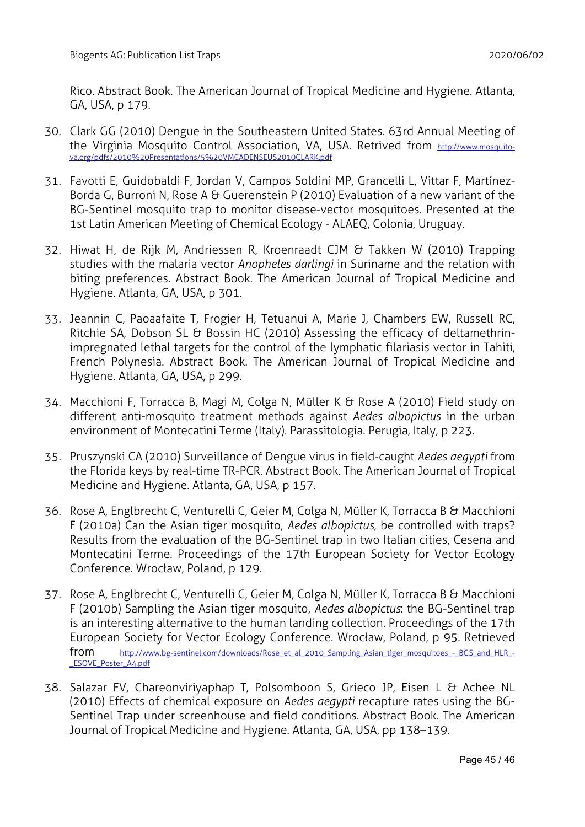Rico. Abstract Book. The American Journal of Tropical Medicine and Hygiene. Atlanta, GA, USA, p 179.

- 30. Clark GG (2010) Dengue in the Southeastern United States. 63rd Annual Meeting of the Virginia Mosquito Control Association, VA, USA. Retrived from http://www.mosquitova.org/pdfs/2010%20Presentations/5%20VMCADENSEUS2010CLARK.pdf
- 31. Favotti E, Guidobaldi F, Jordan V, Campos Soldini MP, Grancelli L, Vittar F, Martínez-Borda G, Burroni N, Rose A & Guerenstein P (2010) Evaluation of a new variant of the BG-Sentinel mosquito trap to monitor disease-vector mosquitoes. Presented at the 1st Latin American Meeting of Chemical Ecology - ALAEQ, Colonia, Uruguay.
- 32. Hiwat H, de Rijk M, Andriessen R, Kroenraadt CJM & Takken W (2010) Trapping studies with the malaria vector *Anopheles darlingi* in Suriname and the relation with biting preferences. Abstract Book. The American Journal of Tropical Medicine and Hygiene. Atlanta, GA, USA, p 301.
- 33. Jeannin C, Paoaafaite T, Frogier H, Tetuanui A, Marie J, Chambers EW, Russell RC, Ritchie SA, Dobson SL & Bossin HC (2010) Assessing the efficacy of deltamethrinimpregnated lethal targets for the control of the lymphatic filariasis vector in Tahiti, French Polynesia. Abstract Book. The American Journal of Tropical Medicine and Hygiene. Atlanta, GA, USA, p 299.
- 34. Macchioni F, Torracca B, Magi M, Colga N, Müller K & Rose A (2010) Field study on different anti-mosquito treatment methods against *Aedes albopictus* in the urban environment of Montecatini Terme (Italy). Parassitologia. Perugia, Italy, p 223.
- 35. Pruszynski CA (2010) Surveillance of Dengue virus in field-caught *Aedes aegypti* from the Florida keys by real-time TR-PCR. Abstract Book. The American Journal of Tropical Medicine and Hygiene. Atlanta, GA, USA, p 157.
- 36. Rose A, Englbrecht C, Venturelli C, Geier M, Colga N, Müller K, Torracca B & Macchioni F (2010a) Can the Asian tiger mosquito, *Aedes albopictus*, be controlled with traps? Results from the evaluation of the BG-Sentinel trap in two Italian cities, Cesena and Montecatini Terme. Proceedings of the 17th European Society for Vector Ecology Conference. Wrocław, Poland, p 129.
- 37. Rose A, Englbrecht C, Venturelli C, Geier M, Colga N, Müller K, Torracca B & Macchioni F (2010b) Sampling the Asian tiger mosquito, *Aedes albopictus*: the BG-Sentinel trap is an interesting alternative to the human landing collection. Proceedings of the 17th European Society for Vector Ecology Conference. Wrocław, Poland, p 95. Retrieved from http://www.bg-sentinel.com/downloads/Rose\_et\_al\_2010\_Sampling\_Asian\_tiger\_mosquitoes\_-\_BGS\_and\_HLR\_-\_ESOVE\_Poster\_A4.pdf
- 38. Salazar FV, Chareonviriyaphap T, Polsomboon S, Grieco JP, Eisen L & Achee NL (2010) Effects of chemical exposure on *Aedes aegypti* recapture rates using the BG-Sentinel Trap under screenhouse and field conditions. Abstract Book. The American Journal of Tropical Medicine and Hygiene. Atlanta, GA, USA, pp 138–139.